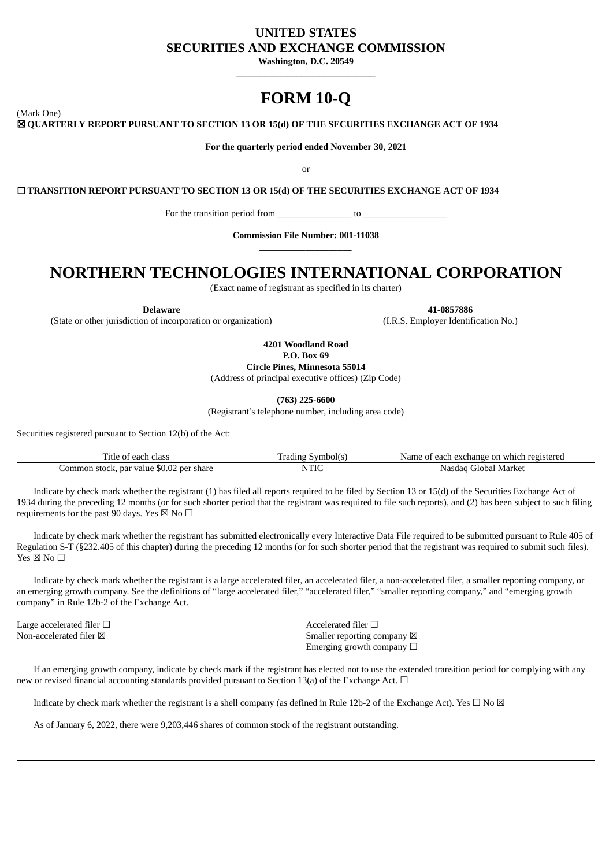## **UNITED STATES SECURITIES AND EXCHANGE COMMISSION**

**Washington, D.C. 20549 \_\_\_\_\_\_\_\_\_\_\_\_\_\_\_\_\_\_\_\_\_\_\_\_\_\_\_\_\_\_**

# **FORM 10-Q**

(Mark One)

☒ **QUARTERLY REPORT PURSUANT TO SECTION 13 OR 15(d) OF THE SECURITIES EXCHANGE ACT OF 1934**

**For the quarterly period ended November 30, 2021**

or

☐ **TRANSITION REPORT PURSUANT TO SECTION 13 OR 15(d) OF THE SECURITIES EXCHANGE ACT OF 1934**

For the transition period from  $\Box$  to  $\Box$ 

**Commission File Number: 001-11038** *\_\_\_\_\_\_\_\_\_\_\_\_\_\_\_\_\_\_\_\_*

## **NORTHERN TECHNOLOGIES INTERNATIONAL CORPORATION**

(Exact name of registrant as specified in its charter)

**Delaware**

(State or other jurisdiction of incorporation or organization)

**41-0857886**

(I.R.S. Employer Identification No.)

**4201 Woodland Road P.O. Box 69 Circle Pines, Minnesota 55014**

(Address of principal executive offices) (Zip Code)

**(763) 225-6600**

(Registrant's telephone number, including area code)

Securities registered pursuant to Section 12(b) of the Act:

| and the second second the second second.<br>class<br>ïtle<br>eac<br>m               | radıng | ı registerec<br>. exchange on<br>Name<br>each<br>which<br>ОT |  |  |  |  |
|-------------------------------------------------------------------------------------|--------|--------------------------------------------------------------|--|--|--|--|
| $\sim$ $\sim$<br>ተ ጣ<br>share<br>par value<br>. per<br>. .ommor<br>stock.<br>.NU.UZ | NTTC   | Markei<br>Nasdad<br>Giobal                                   |  |  |  |  |

Indicate by check mark whether the registrant (1) has filed all reports required to be filed by Section 13 or 15(d) of the Securities Exchange Act of 1934 during the preceding 12 months (or for such shorter period that the registrant was required to file such reports), and (2) has been subject to such filing requirements for the past 90 days. Yes  $\boxtimes$  No  $\Box$ 

Indicate by check mark whether the registrant has submitted electronically every Interactive Data File required to be submitted pursuant to Rule 405 of Regulation S-T (§232.405 of this chapter) during the preceding 12 months (or for such shorter period that the registrant was required to submit such files).  $Yes \boxtimes No \square$ 

Indicate by check mark whether the registrant is a large accelerated filer, an accelerated filer, a non-accelerated filer, a smaller reporting company, or an emerging growth company. See the definitions of "large accelerated filer," "accelerated filer," "smaller reporting company," and "emerging growth company" in Rule 12b-2 of the Exchange Act.

Large accelerated filer □ <br>
Accelerated filer □

Non-accelerated filer  $\boxtimes$  Smaller reporting company  $\boxtimes$ Emerging growth company  $\Box$ 

If an emerging growth company, indicate by check mark if the registrant has elected not to use the extended transition period for complying with any new or revised financial accounting standards provided pursuant to Section 13(a) of the Exchange Act.  $\Box$ 

Indicate by check mark whether the registrant is a shell company (as defined in Rule 12b-2 of the Exchange Act). Yes  $\Box$  No  $\boxtimes$ 

As of January 6, 2022, there were 9,203,446 shares of common stock of the registrant outstanding.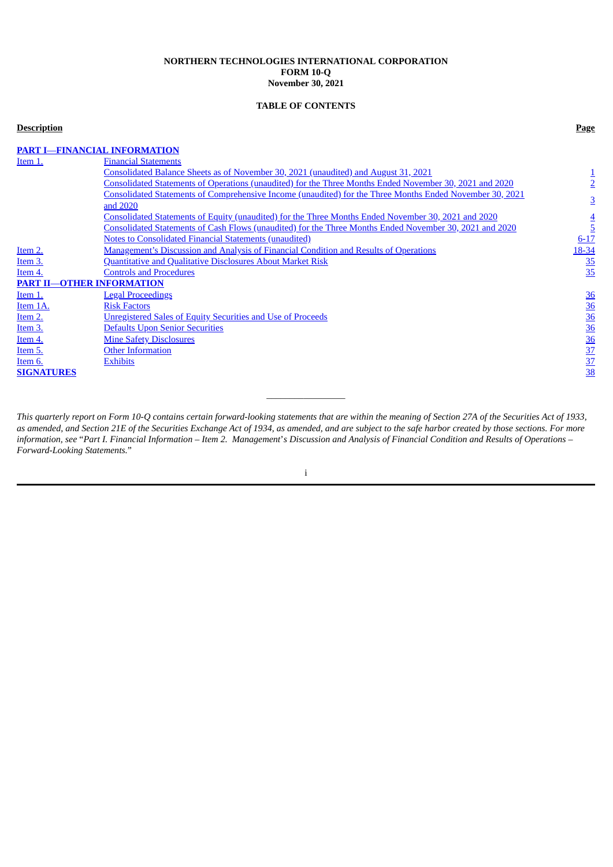## **NORTHERN TECHNOLOGIES INTERNATIONAL CORPORATION FORM 10-Q November 30, 2021**

## **TABLE OF CONTENTS**

#### **Description Page**

|                   | <b>PART I-FINANCIAL INFORMATION</b>                                                                      |                                                                 |
|-------------------|----------------------------------------------------------------------------------------------------------|-----------------------------------------------------------------|
| Item 1.           | <b>Financial Statements</b>                                                                              |                                                                 |
|                   | Consolidated Balance Sheets as of November 30, 2021 (unaudited) and August 31, 2021                      | $\overline{1}$                                                  |
|                   | Consolidated Statements of Operations (unaudited) for the Three Months Ended November 30, 2021 and 2020  | $\overline{2}$                                                  |
|                   | Consolidated Statements of Comprehensive Income (unaudited) for the Three Months Ended November 30, 2021 |                                                                 |
|                   | and 2020                                                                                                 | 3                                                               |
|                   | Consolidated Statements of Equity (unaudited) for the Three Months Ended November 30, 2021 and 2020      |                                                                 |
|                   | Consolidated Statements of Cash Flows (unaudited) for the Three Months Ended November 30, 2021 and 2020  |                                                                 |
|                   | <b>Notes to Consolidated Financial Statements (unaudited)</b>                                            | $6 - 17$                                                        |
| Item 2.           | <b>Management's Discussion and Analysis of Financial Condition and Results of Operations</b>             | 18-34                                                           |
| Item 3.           | <b>Quantitative and Qualitative Disclosures About Market Risk</b>                                        | 35                                                              |
| Item 4.           | <b>Controls and Procedures</b>                                                                           | 35                                                              |
| <b>PART II-</b>   | <b>-OTHER INFORMATION</b>                                                                                |                                                                 |
| Item 1.           | <b>Legal Proceedings</b>                                                                                 | 36                                                              |
| Item 1A.          | <b>Risk Factors</b>                                                                                      |                                                                 |
| Item 2.           | <b>Unregistered Sales of Equity Securities and Use of Proceeds</b>                                       |                                                                 |
| Item 3.           | <b>Defaults Upon Senior Securities</b>                                                                   |                                                                 |
| Item 4.           | <b>Mine Safety Disclosures</b>                                                                           |                                                                 |
| Item 5.           | <b>Other Information</b>                                                                                 | $\frac{36}{36}$ $\frac{36}{36}$ $\frac{36}{37}$ $\frac{37}{37}$ |
| Item 6.           | <b>Exhibits</b>                                                                                          |                                                                 |
| <b>SIGNATURES</b> |                                                                                                          | 38                                                              |
|                   |                                                                                                          |                                                                 |

This quarterly report on Form 10-Q contains certain forward-looking statements that are within the meaning of Section 27A of the Securities Act of 1933, as amended, and Section 21E of the Securities Exchange Act of 1934, as amended, and are subject to the safe harbor created by those sections. For more information, see "Part I. Financial Information - Item 2. Management's Discussion and Analysis of Financial Condition and Results of Operations -*Forward-Looking Statements.*"

 $\overline{\phantom{a}}$  , where  $\overline{\phantom{a}}$ 

i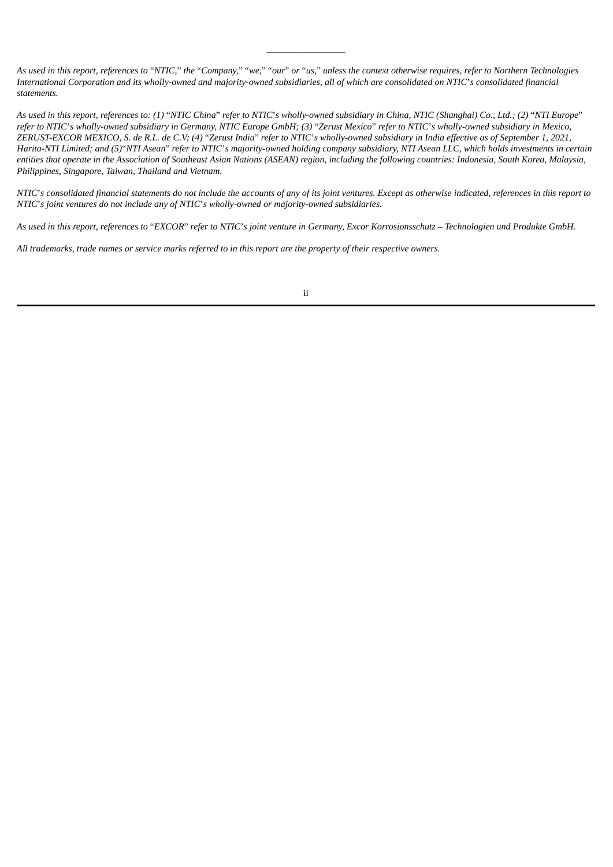As used in this report, references to "NTIC," the "Company," "we," "our" or "us," unless the context otherwise requires, refer to Northern Technologies International Corporation and its wholly-owned and majority-owned subsidiaries, all of which are consolidated on NTIC's consolidated financial *statements.*

 $\overline{\phantom{a}}$  , where  $\overline{\phantom{a}}$ 

As used in this report, references to: (1) "NTIC China" refer to NTIC's wholly-owned subsidiary in China, NTIC (Shanghai) Co., Ltd.; (2) "NTI Europe" refer to NTIC's wholly-owned subsidiary in Germany, NTIC Europe GmbH; (3) "Zerust Mexico" refer to NTIC's wholly-owned subsidiary in Mexico, ZERUST-EXCOR MEXICO, S. de R.L. de C.V; (4) "Zerust India" refer to NTIC's wholly-owned subsidiary in India effective as of September 1, 2021, Harita-NTI Limited; and (5)"NTI Asean" refer to NTIC's majority-owned holding company subsidiary, NTI Asean LLC, which holds investments in certain entities that operate in the Association of Southeast Asian Nations (ASEAN) region, including the following countries: Indonesia, South Korea, Malaysia, *Philippines, Singapore, Taiwan, Thailand and Vietnam.*

NTIC's consolidated financial statements do not include the accounts of any of its joint ventures. Except as otherwise indicated, references in this report to *NTIC*'*s joint ventures do not include any of NTIC*'*s wholly-owned or majority-owned subsidiaries.*

As used in this report, references to "EXCOR" refer to NTIC's joint venture in Germany, Excor Korrosionsschutz - Technologien und Produkte GmbH.

All trademarks, trade names or service marks referred to in this report are the property of their respective owners.

ii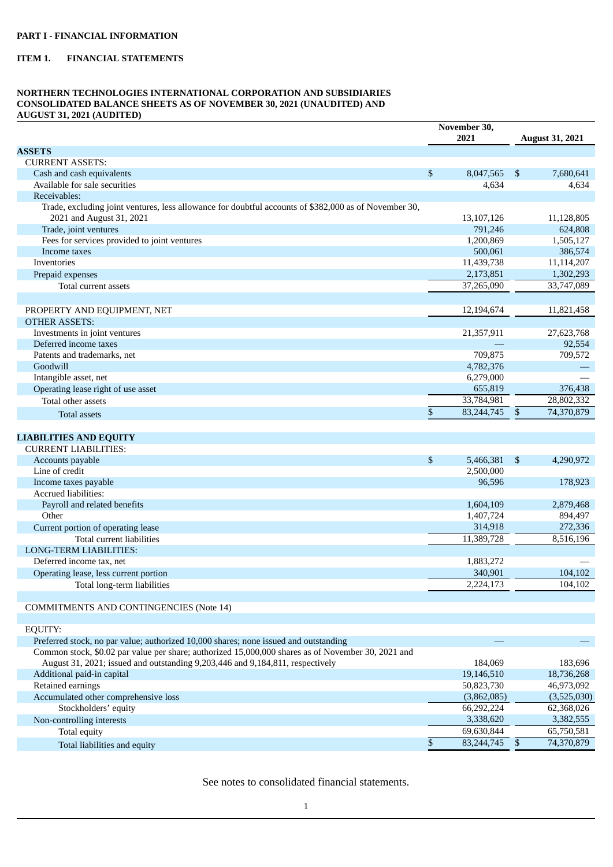## <span id="page-3-1"></span><span id="page-3-0"></span>**ITEM 1. FINANCIAL STATEMENTS**

## <span id="page-3-2"></span>**NORTHERN TECHNOLOGIES INTERNATIONAL CORPORATION AND SUBSIDIARIES CONSOLIDATED BALANCE SHEETS AS OF NOVEMBER 30, 2021 (UNAUDITED) AND AUGUST 31, 2021 (AUDITED)**

|                                                                                                       | November 30, |                        |    |                         |  |
|-------------------------------------------------------------------------------------------------------|--------------|------------------------|----|-------------------------|--|
|                                                                                                       |              | 2021                   |    | <b>August 31, 2021</b>  |  |
| <b>ASSETS</b>                                                                                         |              |                        |    |                         |  |
| <b>CURRENT ASSETS:</b>                                                                                |              |                        |    |                         |  |
| Cash and cash equivalents                                                                             | \$           | 8,047,565              | \$ | 7,680,641               |  |
| Available for sale securities                                                                         |              | 4,634                  |    | 4,634                   |  |
| Receivables:                                                                                          |              |                        |    |                         |  |
| Trade, excluding joint ventures, less allowance for doubtful accounts of \$382,000 as of November 30, |              |                        |    |                         |  |
| 2021 and August 31, 2021                                                                              |              | 13,107,126             |    | 11,128,805              |  |
| Trade, joint ventures                                                                                 |              | 791,246                |    | 624,808                 |  |
| Fees for services provided to joint ventures                                                          |              | 1,200,869              |    | 1,505,127               |  |
| Income taxes<br>Inventories                                                                           |              | 500,061<br>11,439,738  |    | 386,574                 |  |
|                                                                                                       |              | 2,173,851              |    | 11,114,207<br>1,302,293 |  |
| Prepaid expenses                                                                                      |              |                        |    |                         |  |
| Total current assets                                                                                  |              | 37,265,090             |    | 33,747,089              |  |
|                                                                                                       |              |                        |    |                         |  |
| PROPERTY AND EQUIPMENT, NET                                                                           |              | 12,194,674             |    | 11,821,458              |  |
| <b>OTHER ASSETS:</b>                                                                                  |              |                        |    |                         |  |
| Investments in joint ventures                                                                         |              | 21,357,911             |    | 27,623,768              |  |
| Deferred income taxes                                                                                 |              |                        |    | 92,554                  |  |
| Patents and trademarks, net                                                                           |              | 709,875                |    | 709,572                 |  |
| Goodwill                                                                                              |              | 4,782,376<br>6,279,000 |    |                         |  |
| Intangible asset, net                                                                                 |              | 655,819                |    | 376,438                 |  |
| Operating lease right of use asset                                                                    |              | 33,784,981             |    | 28,802,332              |  |
| Total other assets                                                                                    |              |                        |    |                         |  |
| <b>Total assets</b>                                                                                   | \$           | 83,244,745             | \$ | 74,370,879              |  |
|                                                                                                       |              |                        |    |                         |  |
| <b>LIABILITIES AND EQUITY</b>                                                                         |              |                        |    |                         |  |
| <b>CURRENT LIABILITIES:</b>                                                                           |              |                        |    |                         |  |
| Accounts payable                                                                                      | \$           | 5,466,381              | \$ | 4,290,972               |  |
| Line of credit                                                                                        |              | 2,500,000              |    |                         |  |
| Income taxes payable                                                                                  |              | 96,596                 |    | 178,923                 |  |
| Accrued liabilities:                                                                                  |              |                        |    |                         |  |
| Payroll and related benefits<br>Other                                                                 |              | 1,604,109              |    | 2,879,468               |  |
|                                                                                                       |              | 1,407,724<br>314,918   |    | 894,497<br>272,336      |  |
| Current portion of operating lease                                                                    |              | 11,389,728             |    | 8,516,196               |  |
| Total current liabilities                                                                             |              |                        |    |                         |  |
| LONG-TERM LIABILITIES:<br>Deferred income tax, net                                                    |              | 1,883,272              |    |                         |  |
| Operating lease, less current portion                                                                 |              | 340,901                |    | 104,102                 |  |
| Total long-term liabilities                                                                           |              | 2,224,173              |    | 104, 102                |  |
|                                                                                                       |              |                        |    |                         |  |
| <b>COMMITMENTS AND CONTINGENCIES (Note 14)</b>                                                        |              |                        |    |                         |  |
|                                                                                                       |              |                        |    |                         |  |
| EQUITY:                                                                                               |              |                        |    |                         |  |
| Preferred stock, no par value; authorized 10,000 shares; none issued and outstanding                  |              |                        |    |                         |  |
| Common stock, \$0.02 par value per share; authorized 15,000,000 shares as of November 30, 2021 and    |              |                        |    |                         |  |
| August 31, 2021; issued and outstanding 9,203,446 and 9,184,811, respectively                         |              | 184,069                |    | 183,696                 |  |
| Additional paid-in capital                                                                            |              | 19,146,510             |    | 18,736,268              |  |
| Retained earnings                                                                                     |              | 50,823,730             |    | 46,973,092              |  |
| Accumulated other comprehensive loss                                                                  |              | (3,862,085)            |    | (3,525,030)             |  |
| Stockholders' equity                                                                                  |              | 66,292,224             |    | 62,368,026              |  |
| Non-controlling interests                                                                             |              | 3,338,620              |    | 3,382,555               |  |
| Total equity                                                                                          |              | 69,630,844             |    | 65,750,581              |  |
| Total liabilities and equity                                                                          | \$           | 83,244,745             | \$ | 74,370,879              |  |
|                                                                                                       |              |                        |    |                         |  |

See notes to consolidated financial statements.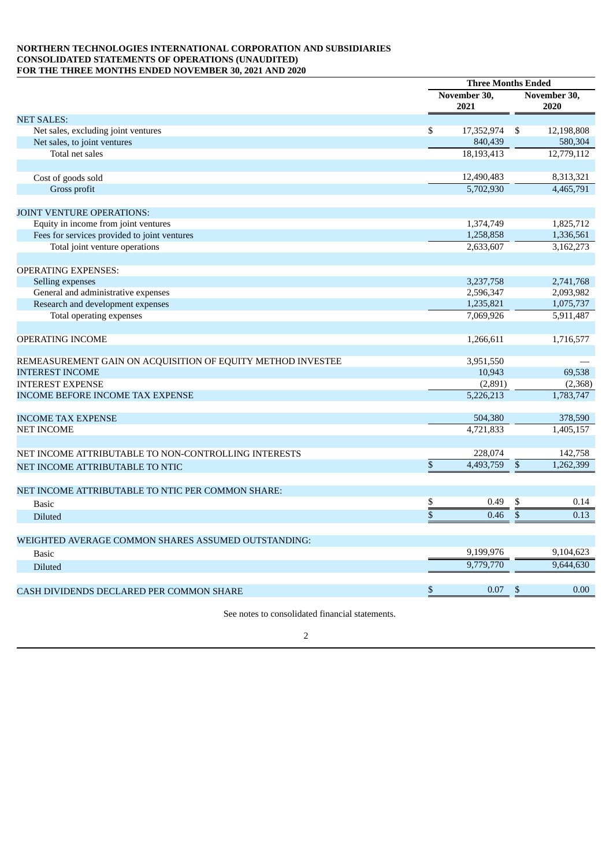## <span id="page-4-0"></span>**NORTHERN TECHNOLOGIES INTERNATIONAL CORPORATION AND SUBSIDIARIES CONSOLIDATED STATEMENTS OF OPERATIONS (UNAUDITED) FOR THE THREE MONTHS ENDED NOVEMBER 30, 2021 AND 2020**

|                                                             | <b>Three Months Ended</b> |                      |                         |                      |
|-------------------------------------------------------------|---------------------------|----------------------|-------------------------|----------------------|
|                                                             |                           | November 30,<br>2021 |                         | November 30,<br>2020 |
| <b>NET SALES:</b>                                           |                           |                      |                         |                      |
| Net sales, excluding joint ventures                         | \$                        | 17,352,974 \$        |                         | 12,198,808           |
| Net sales, to joint ventures                                |                           | 840,439              |                         | 580,304              |
| Total net sales                                             |                           | 18,193,413           |                         | 12,779,112           |
| Cost of goods sold                                          |                           | 12,490,483           |                         | 8,313,321            |
| Gross profit                                                |                           | 5,702,930            |                         | 4,465,791            |
| <b>JOINT VENTURE OPERATIONS:</b>                            |                           |                      |                         |                      |
| Equity in income from joint ventures                        |                           | 1,374,749            |                         | 1,825,712            |
| Fees for services provided to joint ventures                |                           | 1,258,858            |                         | 1,336,561            |
| Total joint venture operations                              |                           | 2,633,607            |                         | 3,162,273            |
| <b>OPERATING EXPENSES:</b>                                  |                           |                      |                         |                      |
| Selling expenses                                            |                           | 3,237,758            |                         | 2,741,768            |
| General and administrative expenses                         |                           | 2,596,347            |                         | 2,093,982            |
| Research and development expenses                           |                           | 1,235,821            |                         | 1,075,737            |
| Total operating expenses                                    |                           | 7,069,926            |                         | 5,911,487            |
| OPERATING INCOME                                            |                           | 1,266,611            |                         | 1,716,577            |
| REMEASUREMENT GAIN ON ACQUISITION OF EQUITY METHOD INVESTEE |                           | 3,951,550            |                         |                      |
| <b>INTEREST INCOME</b>                                      |                           | 10,943               |                         | 69,538               |
| <b>INTEREST EXPENSE</b>                                     |                           | (2,891)              |                         | (2,368)              |
| <b>INCOME BEFORE INCOME TAX EXPENSE</b>                     |                           | 5,226,213            |                         | 1,783,747            |
| <b>INCOME TAX EXPENSE</b>                                   |                           | 504,380              |                         | 378,590              |
| <b>NET INCOME</b>                                           |                           | 4,721,833            |                         | 1,405,157            |
| NET INCOME ATTRIBUTABLE TO NON-CONTROLLING INTERESTS        |                           | 228,074              |                         | 142,758              |
|                                                             | \$                        | 4,493,759 \$         |                         | 1,262,399            |
| NET INCOME ATTRIBUTABLE TO NTIC                             |                           |                      |                         |                      |
| NET INCOME ATTRIBUTABLE TO NTIC PER COMMON SHARE:           |                           |                      |                         |                      |
| <b>Basic</b>                                                | \$                        | 0.49                 | \$                      | 0.14                 |
| <b>Diluted</b>                                              |                           | 0.46                 | $\overline{\mathbb{S}}$ | 0.13                 |
| WEIGHTED AVERAGE COMMON SHARES ASSUMED OUTSTANDING:         |                           |                      |                         |                      |
| <b>Basic</b>                                                |                           | 9,199,976            |                         | 9,104,623            |
| Diluted                                                     |                           | 9,779,770            |                         | 9,644,630            |
| CASH DIVIDENDS DECLARED PER COMMON SHARE                    | \$                        | 0.07                 | S                       | 0.00                 |
|                                                             |                           |                      |                         |                      |

See notes to consolidated financial statements.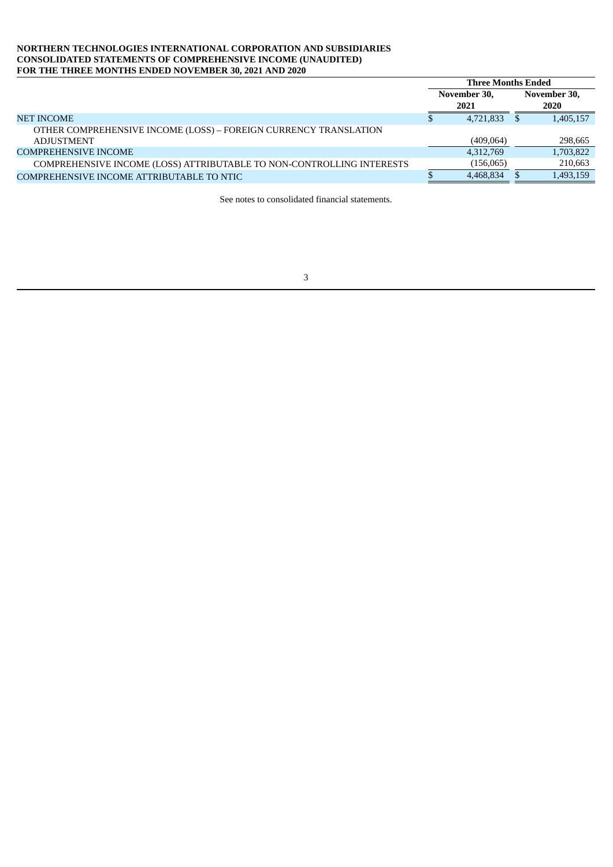## <span id="page-5-0"></span>**NORTHERN TECHNOLOGIES INTERNATIONAL CORPORATION AND SUBSIDIARIES CONSOLIDATED STATEMENTS OF COMPREHENSIVE INCOME (UNAUDITED) FOR THE THREE MONTHS ENDED NOVEMBER 30, 2021 AND 2020**

|                                                                       | <b>Three Months Ended</b> |            |  |                      |
|-----------------------------------------------------------------------|---------------------------|------------|--|----------------------|
|                                                                       | November 30,<br>2021      |            |  | November 30,<br>2020 |
| <b>NET INCOME</b>                                                     |                           | 4,721,833  |  | 1,405,157            |
| OTHER COMPREHENSIVE INCOME (LOSS) - FOREIGN CURRENCY TRANSLATION      |                           |            |  |                      |
| <b>ADJUSTMENT</b>                                                     |                           | (409, 064) |  | 298,665              |
| <b>COMPREHENSIVE INCOME</b>                                           |                           | 4,312,769  |  | 1,703,822            |
| COMPREHENSIVE INCOME (LOSS) ATTRIBUTABLE TO NON-CONTROLLING INTERESTS |                           | (156, 065) |  | 210,663              |
| COMPREHENSIVE INCOME ATTRIBUTABLE TO NTIC                             |                           | 4.468.834  |  | 1,493,159            |

See notes to consolidated financial statements.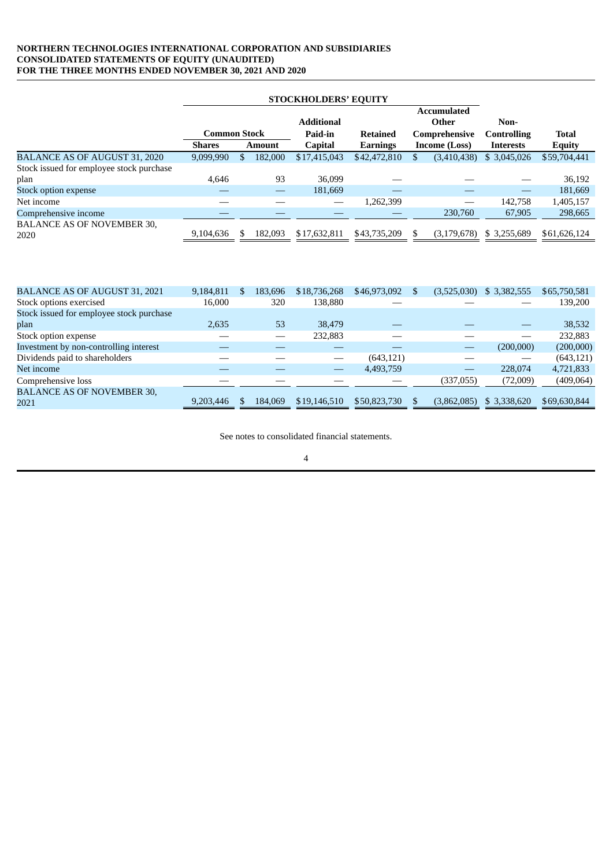## <span id="page-6-0"></span>**NORTHERN TECHNOLOGIES INTERNATIONAL CORPORATION AND SUBSIDIARIES CONSOLIDATED STATEMENTS OF EQUITY (UNAUDITED) FOR THE THREE MONTHS ENDED NOVEMBER 30, 2021 AND 2020**

| <b>STOCKHOLDERS' EQUITY</b>               |                     |    |               |                              |                 |                                              |                                |               |              |  |  |                     |              |
|-------------------------------------------|---------------------|----|---------------|------------------------------|-----------------|----------------------------------------------|--------------------------------|---------------|--------------|--|--|---------------------|--------------|
|                                           | <b>Common Stock</b> |    |               | <b>Additional</b><br>Paid-in | Retained        | <b>Accumulated</b><br>Other<br>Comprehensive |                                | Income (Loss) |              |  |  | Non-<br>Controlling | <b>Total</b> |
|                                           | <b>Shares</b>       |    | <b>Amount</b> | <b>Capital</b>               | <b>Earnings</b> |                                              |                                |               |              |  |  |                     |              |
| <b>BALANCE AS OF AUGUST 31, 2020</b>      | 9,099,990           | S. | 182,000       | \$17,415,043                 | \$42,472,810    | S                                            | (3,410,438)                    | \$3,045,026   | \$59,704,441 |  |  |                     |              |
| Stock issued for employee stock purchase  |                     |    |               |                              |                 |                                              |                                |               |              |  |  |                     |              |
| plan                                      | 4.646               |    | 93            | 36,099                       |                 |                                              |                                |               | 36.192       |  |  |                     |              |
| Stock option expense                      |                     |    |               | 181.669                      |                 |                                              |                                |               | 181,669      |  |  |                     |              |
| Net income                                |                     |    |               |                              | 1,262,399       |                                              | $\overbrace{\hspace{25mm}}^{}$ | 142,758       | 1,405,157    |  |  |                     |              |
| Comprehensive income                      |                     |    |               |                              |                 |                                              | 230,760                        | 67,905        | 298,665      |  |  |                     |              |
| <b>BALANCE AS OF NOVEMBER 30,</b><br>2020 | 9.104.636           | S. | 182,093       | \$17,632,811                 | \$43,735,209    |                                              | (3, 179, 678)                  | \$ 3,255,689  | \$61,626,124 |  |  |                     |              |

| BALANCE AS OF AUGUST 31, 2021            | 9,184,811 | 183,696 | \$18,736,268 | \$46,973,092 | (3,525,030) | \$ 3,382,555 | \$65,750,581 |
|------------------------------------------|-----------|---------|--------------|--------------|-------------|--------------|--------------|
| Stock options exercised                  | 16.000    | 320     | 138,880      |              |             |              | 139,200      |
| Stock issued for employee stock purchase |           |         |              |              |             |              |              |
| plan                                     | 2,635     | 53      | 38,479       |              |             |              | 38,532       |
| Stock option expense                     |           |         | 232,883      |              |             |              | 232,883      |
| Investment by non-controlling interest   |           |         |              |              |             | (200,000)    | (200,000)    |
| Dividends paid to shareholders           |           |         |              | (643, 121)   |             |              | (643, 121)   |
| Net income                               |           |         |              | 4,493,759    |             | 228,074      | 4,721,833    |
| Comprehensive loss                       |           |         |              |              | (337,055)   | (72,009)     | (409, 064)   |
| <b>BALANCE AS OF NOVEMBER 30,</b>        |           |         |              |              |             |              |              |
| 2021                                     | 9.203.446 | 184.069 | \$19,146,510 | \$50,823,730 | (3,862,085) | \$ 3,338,620 | \$69,630,844 |

See notes to consolidated financial statements.

$$
\mathbf{4} \\
$$

<u> 1980 - Johann Barn, mars an t-Amerikaansk kommunister (</u>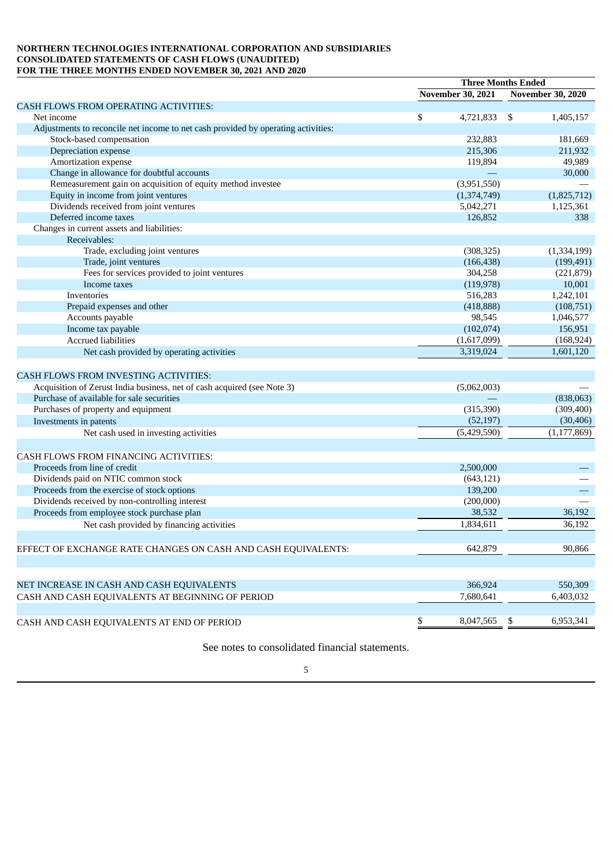## <span id="page-7-0"></span>**NORTHERN TECHNOLOGIES INTERNATIONAL CORPORATION AND SUBSIDIARIES CONSOLIDATED STATEMENTS OF CASH FLOWS (UNAUDITED) FOR THE THREE MONTHS ENDED NOVEMBER 30, 2021 AND 2020**

|                                                                                   | <b>Three Months Ended</b> |    |                          |  |
|-----------------------------------------------------------------------------------|---------------------------|----|--------------------------|--|
|                                                                                   | <b>November 30, 2021</b>  |    | <b>November 30, 2020</b> |  |
| <b>CASH FLOWS FROM OPERATING ACTIVITIES:</b>                                      |                           |    |                          |  |
| Net income                                                                        | \$<br>4,721,833           | \$ | 1,405,157                |  |
| Adjustments to reconcile net income to net cash provided by operating activities: |                           |    |                          |  |
| Stock-based compensation                                                          | 232,883                   |    | 181,669                  |  |
| Depreciation expense                                                              | 215,306                   |    | 211,932                  |  |
| Amortization expense                                                              | 119,894                   |    | 49,989                   |  |
| Change in allowance for doubtful accounts                                         |                           |    | 30,000                   |  |
| Remeasurement gain on acquisition of equity method investee                       | (3,951,550)               |    |                          |  |
| Equity in income from joint ventures                                              | (1,374,749)               |    | (1,825,712)              |  |
| Dividends received from joint ventures                                            | 5,042,271                 |    | 1,125,361                |  |
| Deferred income taxes                                                             | 126,852                   |    | 338                      |  |
| Changes in current assets and liabilities:                                        |                           |    |                          |  |
| Receivables:                                                                      |                           |    |                          |  |
| Trade, excluding joint ventures                                                   | (308, 325)                |    | (1,334,199)              |  |
| Trade, joint ventures                                                             | (166, 438)                |    | (199, 491)               |  |
| Fees for services provided to joint ventures                                      | 304,258                   |    | (221, 879)               |  |
| Income taxes                                                                      | (119, 978)                |    | 10,001                   |  |
| Inventories                                                                       | 516,283                   |    | 1,242,101                |  |
| Prepaid expenses and other                                                        | (418, 888)                |    | (108, 751)               |  |
| Accounts payable                                                                  | 98,545                    |    | 1,046,577                |  |
| Income tax payable                                                                | (102, 074)                |    | 156,951                  |  |
| <b>Accrued liabilities</b>                                                        | (1,617,099)               |    | (168, 924)               |  |
| Net cash provided by operating activities                                         | 3,319,024                 |    | 1,601,120                |  |
|                                                                                   |                           |    |                          |  |
| <b>CASH FLOWS FROM INVESTING ACTIVITIES:</b>                                      |                           |    |                          |  |
| Acquisition of Zerust India business, net of cash acquired (see Note 3)           | (5,062,003)               |    |                          |  |
| Purchase of available for sale securities                                         |                           |    | (838,063)                |  |
| Purchases of property and equipment                                               | (315, 390)                |    | (309, 400)               |  |
|                                                                                   | (52, 197)                 |    | (30, 406)                |  |
| Investments in patents                                                            | (5,429,590)               |    | (1, 177, 869)            |  |
| Net cash used in investing activities                                             |                           |    |                          |  |
|                                                                                   |                           |    |                          |  |
| CASH FLOWS FROM FINANCING ACTIVITIES:                                             |                           |    |                          |  |
| Proceeds from line of credit                                                      | 2,500,000                 |    |                          |  |
| Dividends paid on NTIC common stock                                               | (643, 121)                |    |                          |  |
| Proceeds from the exercise of stock options                                       | 139,200                   |    |                          |  |
| Dividends received by non-controlling interest                                    | (200,000)                 |    |                          |  |
| Proceeds from employee stock purchase plan                                        | 38,532                    |    | 36,192                   |  |
| Net cash provided by financing activities                                         | 1,834,611                 |    | 36,192                   |  |
|                                                                                   |                           |    |                          |  |
| EFFECT OF EXCHANGE RATE CHANGES ON CASH AND CASH EQUIVALENTS:                     | 642,879                   |    | 90,866                   |  |
|                                                                                   |                           |    |                          |  |
|                                                                                   |                           |    |                          |  |
| NET INCREASE IN CASH AND CASH EQUIVALENTS                                         | 366,924                   |    | 550,309                  |  |
| CASH AND CASH EQUIVALENTS AT BEGINNING OF PERIOD                                  | 7,680,641                 |    | 6,403,032                |  |
|                                                                                   |                           |    |                          |  |
| CASH AND CASH EQUIVALENTS AT END OF PERIOD                                        | \$<br>8,047,565           | S  | 6,953,341                |  |
|                                                                                   |                           |    |                          |  |
|                                                                                   |                           |    |                          |  |

See notes to consolidated financial statements.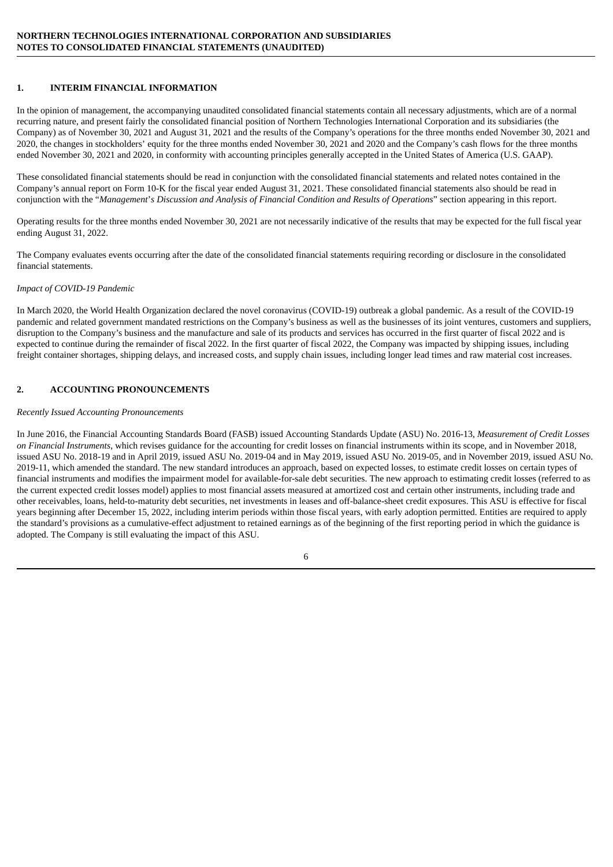## <span id="page-8-0"></span>**1. INTERIM FINANCIAL INFORMATION**

In the opinion of management, the accompanying unaudited consolidated financial statements contain all necessary adjustments, which are of a normal recurring nature, and present fairly the consolidated financial position of Northern Technologies International Corporation and its subsidiaries (the Company) as of November 30, 2021 and August 31, 2021 and the results of the Company's operations for the three months ended November 30, 2021 and 2020, the changes in stockholders' equity for the three months ended November 30, 2021 and 2020 and the Company's cash flows for the three months ended November 30, 2021 and 2020, in conformity with accounting principles generally accepted in the United States of America (U.S. GAAP).

These consolidated financial statements should be read in conjunction with the consolidated financial statements and related notes contained in the Company's annual report on Form 10-K for the fiscal year ended August 31, 2021. These consolidated financial statements also should be read in conjunction with the "Management's Discussion and Analysis of Financial Condition and Results of Operations" section appearing in this report.

Operating results for the three months ended November 30, 2021 are not necessarily indicative of the results that may be expected for the full fiscal year ending August 31, 2022.

The Company evaluates events occurring after the date of the consolidated financial statements requiring recording or disclosure in the consolidated financial statements.

#### *Impact of COVID-19 Pandemic*

In March 2020, the World Health Organization declared the novel coronavirus (COVID-19) outbreak a global pandemic. As a result of the COVID-19 pandemic and related government mandated restrictions on the Company's business as well as the businesses of its joint ventures, customers and suppliers, disruption to the Company's business and the manufacture and sale of its products and services has occurred in the first quarter of fiscal 2022 and is expected to continue during the remainder of fiscal 2022. In the first quarter of fiscal 2022, the Company was impacted by shipping issues, including freight container shortages, shipping delays, and increased costs, and supply chain issues, including longer lead times and raw material cost increases.

## **2. ACCOUNTING PRONOUNCEMENTS**

#### *Recently Issued Accounting Pronouncements*

In June 2016, the Financial Accounting Standards Board (FASB) issued Accounting Standards Update (ASU) No. 2016-13, *Measurement of Credit Losses on Financial Instruments*, which revises guidance for the accounting for credit losses on financial instruments within its scope, and in November 2018, issued ASU No. 2018-19 and in April 2019, issued ASU No. 2019-04 and in May 2019, issued ASU No. 2019-05, and in November 2019, issued ASU No. 2019-11, which amended the standard. The new standard introduces an approach, based on expected losses, to estimate credit losses on certain types of financial instruments and modifies the impairment model for available-for-sale debt securities. The new approach to estimating credit losses (referred to as the current expected credit losses model) applies to most financial assets measured at amortized cost and certain other instruments, including trade and other receivables, loans, held-to-maturity debt securities, net investments in leases and off-balance-sheet credit exposures. This ASU is effective for fiscal years beginning after December 15, 2022, including interim periods within those fiscal years, with early adoption permitted. Entities are required to apply the standard's provisions as a cumulative-effect adjustment to retained earnings as of the beginning of the first reporting period in which the guidance is adopted. The Company is still evaluating the impact of this ASU.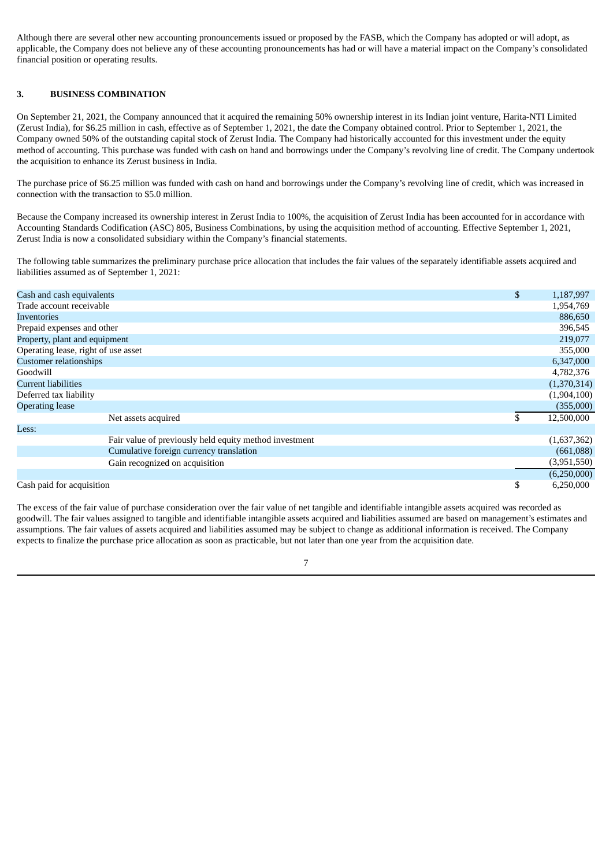Although there are several other new accounting pronouncements issued or proposed by the FASB, which the Company has adopted or will adopt, as applicable, the Company does not believe any of these accounting pronouncements has had or will have a material impact on the Company's consolidated financial position or operating results.

#### **3. BUSINESS COMBINATION**

On September 21, 2021, the Company announced that it acquired the remaining 50% ownership interest in its Indian joint venture, Harita-NTI Limited (Zerust India), for \$6.25 million in cash, effective as of September 1, 2021, the date the Company obtained control. Prior to September 1, 2021, the Company owned 50% of the outstanding capital stock of Zerust India. The Company had historically accounted for this investment under the equity method of accounting. This purchase was funded with cash on hand and borrowings under the Company's revolving line of credit. The Company undertook the acquisition to enhance its Zerust business in India.

The purchase price of \$6.25 million was funded with cash on hand and borrowings under the Company's revolving line of credit, which was increased in connection with the transaction to \$5.0 million.

Because the Company increased its ownership interest in Zerust India to 100%, the acquisition of Zerust India has been accounted for in accordance with Accounting Standards Codification (ASC) 805, Business Combinations, by using the acquisition method of accounting. Effective September 1, 2021, Zerust India is now a consolidated subsidiary within the Company's financial statements.

The following table summarizes the preliminary purchase price allocation that includes the fair values of the separately identifiable assets acquired and liabilities assumed as of September 1, 2021:

| Cash and cash equivalents                              | \$<br>1,187,997  |
|--------------------------------------------------------|------------------|
| Trade account receivable                               | 1,954,769        |
| <b>Inventories</b>                                     | 886,650          |
| Prepaid expenses and other                             | 396,545          |
| Property, plant and equipment                          | 219,077          |
| Operating lease, right of use asset                    | 355,000          |
| <b>Customer relationships</b>                          | 6,347,000        |
| Goodwill                                               | 4,782,376        |
| <b>Current liabilities</b>                             | (1,370,314)      |
| Deferred tax liability                                 | (1,904,100)      |
| <b>Operating lease</b>                                 | (355,000)        |
| Net assets acquired                                    | \$<br>12,500,000 |
| Less:                                                  |                  |
| Fair value of previously held equity method investment | (1,637,362)      |
| Cumulative foreign currency translation                | (661,088)        |
| Gain recognized on acquisition                         | (3,951,550)      |
|                                                        | (6,250,000)      |
| Cash paid for acquisition                              | \$<br>6,250,000  |

The excess of the fair value of purchase consideration over the fair value of net tangible and identifiable intangible assets acquired was recorded as goodwill. The fair values assigned to tangible and identifiable intangible assets acquired and liabilities assumed are based on management's estimates and assumptions. The fair values of assets acquired and liabilities assumed may be subject to change as additional information is received. The Company expects to finalize the purchase price allocation as soon as practicable, but not later than one year from the acquisition date.

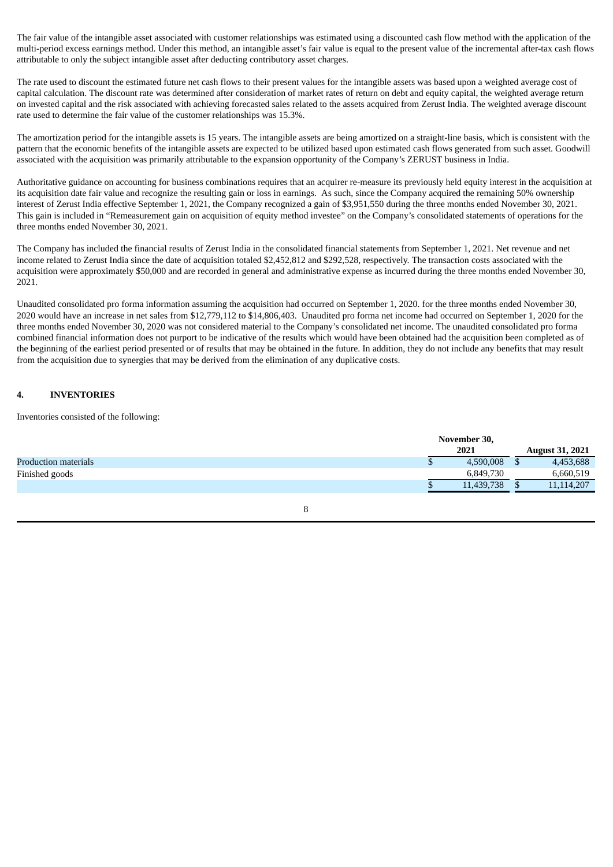The fair value of the intangible asset associated with customer relationships was estimated using a discounted cash flow method with the application of the multi-period excess earnings method. Under this method, an intangible asset's fair value is equal to the present value of the incremental after-tax cash flows attributable to only the subject intangible asset after deducting contributory asset charges.

The rate used to discount the estimated future net cash flows to their present values for the intangible assets was based upon a weighted average cost of capital calculation. The discount rate was determined after consideration of market rates of return on debt and equity capital, the weighted average return on invested capital and the risk associated with achieving forecasted sales related to the assets acquired from Zerust India. The weighted average discount rate used to determine the fair value of the customer relationships was 15.3%.

The amortization period for the intangible assets is 15 years. The intangible assets are being amortized on a straight-line basis, which is consistent with the pattern that the economic benefits of the intangible assets are expected to be utilized based upon estimated cash flows generated from such asset. Goodwill associated with the acquisition was primarily attributable to the expansion opportunity of the Company's ZERUST business in India.

Authoritative guidance on accounting for business combinations requires that an acquirer re-measure its previously held equity interest in the acquisition at its acquisition date fair value and recognize the resulting gain or loss in earnings. As such, since the Company acquired the remaining 50% ownership interest of Zerust India effective September 1, 2021, the Company recognized a gain of \$3,951,550 during the three months ended November 30, 2021. This gain is included in "Remeasurement gain on acquisition of equity method investee" on the Company's consolidated statements of operations for the three months ended November 30, 2021.

The Company has included the financial results of Zerust India in the consolidated financial statements from September 1, 2021. Net revenue and net income related to Zerust India since the date of acquisition totaled \$2,452,812 and \$292,528, respectively. The transaction costs associated with the acquisition were approximately \$50,000 and are recorded in general and administrative expense as incurred during the three months ended November 30, 2021.

Unaudited consolidated pro forma information assuming the acquisition had occurred on September 1, 2020. for the three months ended November 30, 2020 would have an increase in net sales from \$12,779,112 to \$14,806,403. Unaudited pro forma net income had occurred on September 1, 2020 for the three months ended November 30, 2020 was not considered material to the Company's consolidated net income. The unaudited consolidated pro forma combined financial information does not purport to be indicative of the results which would have been obtained had the acquisition been completed as of the beginning of the earliest period presented or of results that may be obtained in the future. In addition, they do not include any benefits that may result from the acquisition due to synergies that may be derived from the elimination of any duplicative costs.

#### **4. INVENTORIES**

Inventories consisted of the following:

|                      | November 30, |            |  |                        |
|----------------------|--------------|------------|--|------------------------|
|                      |              | 2021       |  | <b>August 31, 2021</b> |
| Production materials |              | 4.590.008  |  | 4,453,688              |
| Finished goods       |              | 6,849,730  |  | 6,660,519              |
|                      |              | 11,439,738 |  | 11,114,207             |
|                      |              |            |  |                        |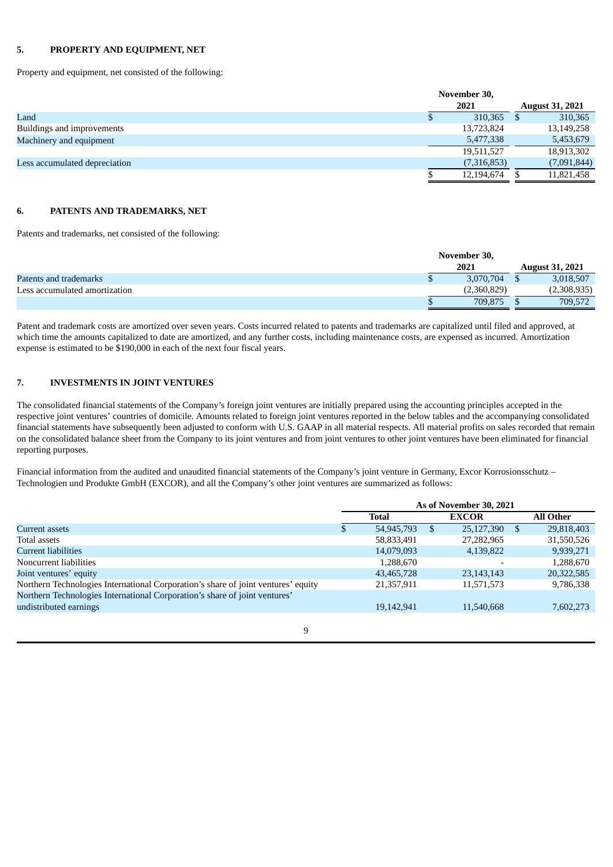## **5. PROPERTY AND EQUIPMENT, NET**

Property and equipment, net consisted of the following:

|                               |      | November 30, |  |                        |  |
|-------------------------------|------|--------------|--|------------------------|--|
|                               | 2021 |              |  | <b>August 31, 2021</b> |  |
| Land                          |      | 310,365      |  | 310,365                |  |
| Buildings and improvements    |      | 13,723,824   |  | 13,149,258             |  |
| Machinery and equipment       |      | 5,477,338    |  | 5,453,679              |  |
|                               |      | 19,511,527   |  | 18,913,302             |  |
| Less accumulated depreciation |      | (7,316,853)  |  | (7,091,844)            |  |
|                               |      | 12,194,674   |  | 11,821,458             |  |

## **6. PATENTS AND TRADEMARKS, NET**

Patents and trademarks, net consisted of the following:

|                               |  | November 30, |                        |
|-------------------------------|--|--------------|------------------------|
|                               |  | 2021         | <b>August 31, 2021</b> |
| Patents and trademarks        |  | 3.070.704    | 3,018,507              |
| Less accumulated amortization |  | (2,360,829)  | (2,308,935)            |
|                               |  | 709,875      | 709,572                |

Patent and trademark costs are amortized over seven years. Costs incurred related to patents and trademarks are capitalized until filed and approved, at which time the amounts capitalized to date are amortized, and any further costs, including maintenance costs, are expensed as incurred. Amortization expense is estimated to be \$190,000 in each of the next four fiscal years.

## **7. INVESTMENTS IN JOINT VENTURES**

The consolidated financial statements of the Company's foreign joint ventures are initially prepared using the accounting principles accepted in the respective joint ventures' countries of domicile. Amounts related to foreign joint ventures reported in the below tables and the accompanying consolidated financial statements have subsequently been adjusted to conform with U.S. GAAP in all material respects. All material profits on sales recorded that remain on the consolidated balance sheet from the Company to its joint ventures and from joint ventures to other joint ventures have been eliminated for financial reporting purposes.

Financial information from the audited and unaudited financial statements of the Company's joint venture in Germany, Excor Korrosionsschutz – Technologien und Produkte GmbH (EXCOR), and all the Company's other joint ventures are summarized as follows:

|                                                                                   | As of November 30, 2021 |            |              |            |      |            |
|-----------------------------------------------------------------------------------|-------------------------|------------|--------------|------------|------|------------|
|                                                                                   |                         | Total      | <b>EXCOR</b> |            |      | All Other  |
| Current assets                                                                    |                         | 54,945,793 |              | 25,127,390 | - \$ | 29,818,403 |
| Total assets                                                                      |                         | 58,833,491 |              | 27,282,965 |      | 31,550,526 |
| Current liabilities                                                               |                         | 14,079,093 |              | 4,139,822  |      | 9,939,271  |
| Noncurrent liabilities                                                            |                         | 1,288,670  |              |            |      | 1,288,670  |
| Joint ventures' equity                                                            |                         | 43,465,728 |              | 23,143,143 |      | 20,322,585 |
| Northern Technologies International Corporation's share of joint ventures' equity |                         | 21,357,911 |              | 11,571,573 |      | 9,786,338  |
| Northern Technologies International Corporation's share of joint ventures'        |                         |            |              |            |      |            |
| undistributed earnings                                                            |                         | 19,142,941 |              | 11,540,668 |      | 7,602,273  |
|                                                                                   |                         |            |              |            |      |            |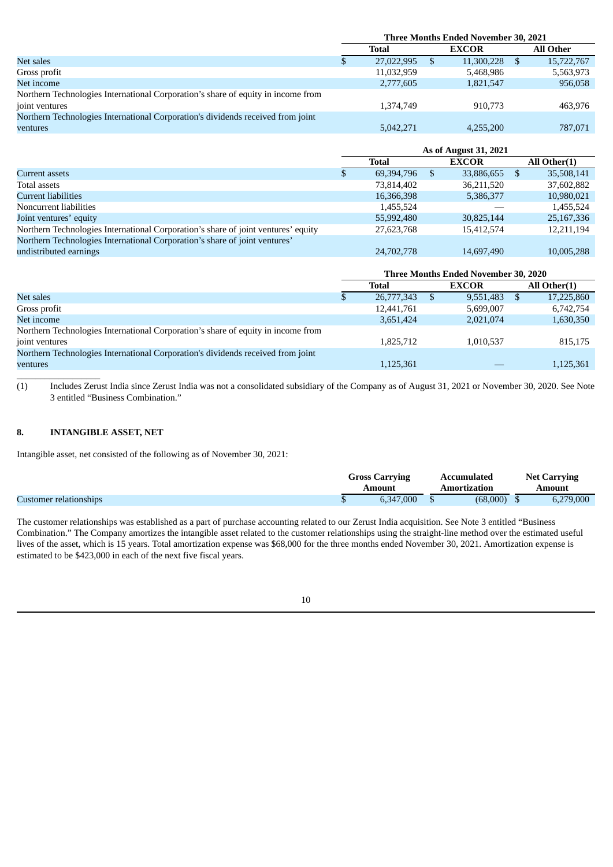|                                                                                  | <b>Three Months Ended November 30, 2021</b> |            |              |            |  |                  |
|----------------------------------------------------------------------------------|---------------------------------------------|------------|--------------|------------|--|------------------|
|                                                                                  |                                             | Total      | <b>EXCOR</b> |            |  | <b>All Other</b> |
| Net sales                                                                        | S                                           | 27,022,995 | S            | 11,300,228 |  | 15,722,767       |
| Gross profit                                                                     |                                             | 11,032,959 |              | 5,468,986  |  | 5,563,973        |
| Net income                                                                       |                                             | 2.777,605  |              | 1,821,547  |  | 956,058          |
| Northern Technologies International Corporation's share of equity in income from |                                             |            |              |            |  |                  |
| joint ventures                                                                   |                                             | 1.374.749  |              | 910.773    |  | 463,976          |
| Northern Technologies International Corporation's dividends received from joint  |                                             |            |              |            |  |                  |
| ventures                                                                         |                                             | 5,042,271  |              | 4,255,200  |  | 787.071          |

|                                                                                   | As of August 31, 2021 |            |              |            |  |              |
|-----------------------------------------------------------------------------------|-----------------------|------------|--------------|------------|--|--------------|
|                                                                                   |                       | Total      | <b>EXCOR</b> |            |  | All Other(1) |
| Current assets                                                                    | S                     | 69,394,796 | S            | 33,886,655 |  | 35,508,141   |
| Total assets                                                                      |                       | 73,814,402 |              | 36,211,520 |  | 37,602,882   |
| <b>Current liabilities</b>                                                        |                       | 16,366,398 |              | 5,386,377  |  | 10,980,021   |
| Noncurrent liabilities                                                            |                       | 1,455,524  |              |            |  | 1,455,524    |
| Joint ventures' equity                                                            |                       | 55,992,480 |              | 30,825,144 |  | 25, 167, 336 |
| Northern Technologies International Corporation's share of joint ventures' equity |                       | 27,623,768 |              | 15,412,574 |  | 12,211,194   |
| Northern Technologies International Corporation's share of joint ventures'        |                       |            |              |            |  |              |
| undistributed earnings                                                            |                       | 24,702,778 |              | 14,697,490 |  | 10,005,288   |

|                                                                                  | <b>Three Months Ended November 30, 2020</b> |              |              |           |   |              |
|----------------------------------------------------------------------------------|---------------------------------------------|--------------|--------------|-----------|---|--------------|
|                                                                                  |                                             | <b>Total</b> | <b>EXCOR</b> |           |   | All Other(1) |
| Net sales                                                                        | \$                                          | 26,777,343   | -S           | 9,551,483 | S | 17,225,860   |
| Gross profit                                                                     |                                             | 12,441,761   |              | 5,699,007 |   | 6,742,754    |
| Net income                                                                       |                                             | 3,651,424    |              | 2,021,074 |   | 1,630,350    |
| Northern Technologies International Corporation's share of equity in income from |                                             |              |              |           |   |              |
| joint ventures                                                                   |                                             | 1,825,712    |              | 1,010,537 |   | 815,175      |
| Northern Technologies International Corporation's dividends received from joint  |                                             |              |              |           |   |              |
| ventures                                                                         |                                             | 1,125,361    |              |           |   | 1,125,361    |
|                                                                                  |                                             |              |              |           |   |              |

(1) Includes Zerust India since Zerust India was not a consolidated subsidiary of the Company as of August 31, 2021 or November 30, 2020. See Note 3 entitled "Business Combination."

## **8. INTANGIBLE ASSET, NET**

Intangible asset, net consisted of the following as of November 30, 2021:

|                        | <b>Gross Carrying</b> |           | Accumulated  |          | <b>Net Carrying</b> |           |
|------------------------|-----------------------|-----------|--------------|----------|---------------------|-----------|
|                        | Amount                |           | Amortization |          | Amount              |           |
| Customer relationships |                       | 6,347,000 |              | (68,000) |                     | 6,279,000 |

The customer relationships was established as a part of purchase accounting related to our Zerust India acquisition. See Note 3 entitled "Business Combination." The Company amortizes the intangible asset related to the customer relationships using the straight-line method over the estimated useful lives of the asset, which is 15 years. Total amortization expense was \$68,000 for the three months ended November 30, 2021. Amortization expense is estimated to be \$423,000 in each of the next five fiscal years.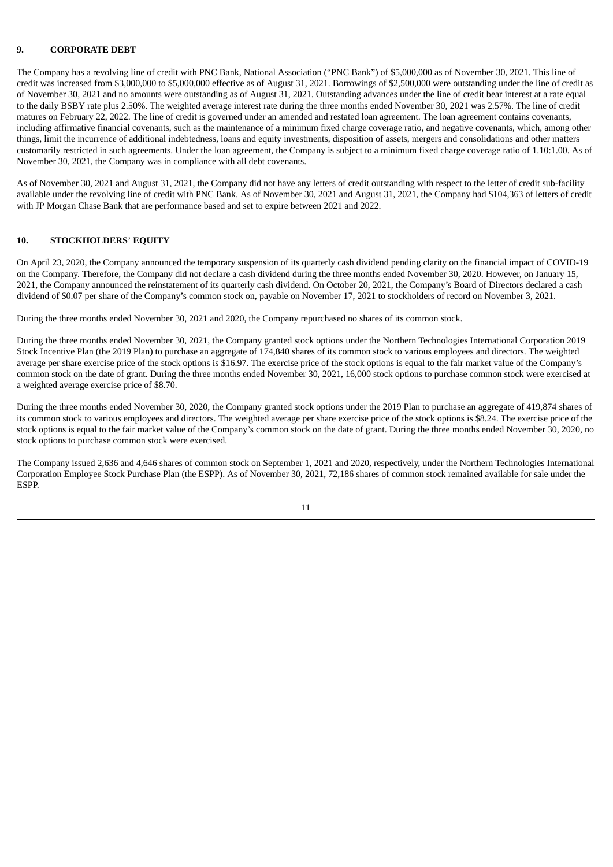## **9. CORPORATE DEBT**

The Company has a revolving line of credit with PNC Bank, National Association ("PNC Bank") of \$5,000,000 as of November 30, 2021. This line of credit was increased from \$3,000,000 to \$5,000,000 effective as of August 31, 2021. Borrowings of \$2,500,000 were outstanding under the line of credit as of November 30, 2021 and no amounts were outstanding as of August 31, 2021. Outstanding advances under the line of credit bear interest at a rate equal to the daily BSBY rate plus 2.50%. The weighted average interest rate during the three months ended November 30, 2021 was 2.57%. The line of credit matures on February 22, 2022. The line of credit is governed under an amended and restated loan agreement. The loan agreement contains covenants, including affirmative financial covenants, such as the maintenance of a minimum fixed charge coverage ratio, and negative covenants, which, among other things, limit the incurrence of additional indebtedness, loans and equity investments, disposition of assets, mergers and consolidations and other matters customarily restricted in such agreements. Under the loan agreement, the Company is subject to a minimum fixed charge coverage ratio of 1.10:1.00. As of November 30, 2021, the Company was in compliance with all debt covenants.

As of November 30, 2021 and August 31, 2021, the Company did not have any letters of credit outstanding with respect to the letter of credit sub-facility available under the revolving line of credit with PNC Bank. As of November 30, 2021 and August 31, 2021, the Company had \$104,363 of letters of credit with JP Morgan Chase Bank that are performance based and set to expire between 2021 and 2022.

#### **10. STOCKHOLDERS**' **EQUITY**

On April 23, 2020, the Company announced the temporary suspension of its quarterly cash dividend pending clarity on the financial impact of COVID-19 on the Company. Therefore, the Company did not declare a cash dividend during the three months ended November 30, 2020. However, on January 15, 2021, the Company announced the reinstatement of its quarterly cash dividend. On October 20, 2021, the Company's Board of Directors declared a cash dividend of \$0.07 per share of the Company's common stock on, payable on November 17, 2021 to stockholders of record on November 3, 2021.

During the three months ended November 30, 2021 and 2020, the Company repurchased no shares of its common stock.

During the three months ended November 30, 2021, the Company granted stock options under the Northern Technologies International Corporation 2019 Stock Incentive Plan (the 2019 Plan) to purchase an aggregate of 174,840 shares of its common stock to various employees and directors. The weighted average per share exercise price of the stock options is \$16.97. The exercise price of the stock options is equal to the fair market value of the Company's common stock on the date of grant. During the three months ended November 30, 2021, 16,000 stock options to purchase common stock were exercised at a weighted average exercise price of \$8.70.

During the three months ended November 30, 2020, the Company granted stock options under the 2019 Plan to purchase an aggregate of 419,874 shares of its common stock to various employees and directors. The weighted average per share exercise price of the stock options is \$8.24. The exercise price of the stock options is equal to the fair market value of the Company's common stock on the date of grant. During the three months ended November 30, 2020, no stock options to purchase common stock were exercised.

The Company issued 2,636 and 4,646 shares of common stock on September 1, 2021 and 2020, respectively, under the Northern Technologies International Corporation Employee Stock Purchase Plan (the ESPP). As of November 30, 2021, 72,186 shares of common stock remained available for sale under the ESPP.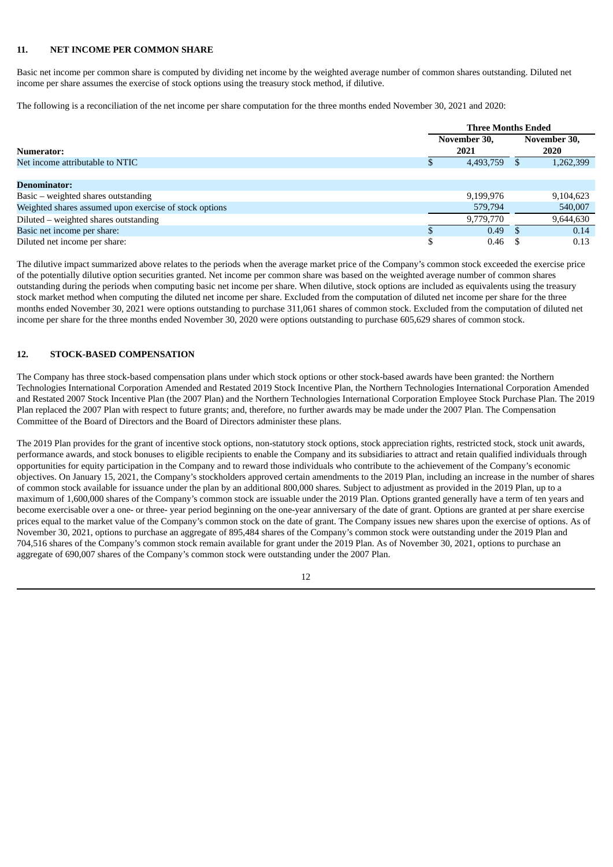## **11. NET INCOME PER COMMON SHARE**

Basic net income per common share is computed by dividing net income by the weighted average number of common shares outstanding. Diluted net income per share assumes the exercise of stock options using the treasury stock method, if dilutive.

The following is a reconciliation of the net income per share computation for the three months ended November 30, 2021 and 2020:

|                                                        |  | <b>Three Months Ended</b> |  |                             |  |  |  |
|--------------------------------------------------------|--|---------------------------|--|-----------------------------|--|--|--|
| Numerator:                                             |  | November 30,<br>2021      |  | November 30,<br><b>2020</b> |  |  |  |
| Net income attributable to NTIC                        |  | 4,493,759                 |  | 1,262,399                   |  |  |  |
| <b>Denominator:</b>                                    |  |                           |  |                             |  |  |  |
| Basic – weighted shares outstanding                    |  | 9,199,976                 |  | 9,104,623                   |  |  |  |
| Weighted shares assumed upon exercise of stock options |  | 579,794                   |  | 540,007                     |  |  |  |
| Diluted – weighted shares outstanding                  |  | 9,779,770                 |  | 9,644,630                   |  |  |  |
| Basic net income per share:                            |  | 0.49                      |  | 0.14                        |  |  |  |
| Diluted net income per share:                          |  | 0.46                      |  | 0.13                        |  |  |  |

The dilutive impact summarized above relates to the periods when the average market price of the Company's common stock exceeded the exercise price of the potentially dilutive option securities granted. Net income per common share was based on the weighted average number of common shares outstanding during the periods when computing basic net income per share. When dilutive, stock options are included as equivalents using the treasury stock market method when computing the diluted net income per share. Excluded from the computation of diluted net income per share for the three months ended November 30, 2021 were options outstanding to purchase 311,061 shares of common stock. Excluded from the computation of diluted net income per share for the three months ended November 30, 2020 were options outstanding to purchase 605,629 shares of common stock.

## **12. STOCK-BASED COMPENSATION**

The Company has three stock-based compensation plans under which stock options or other stock-based awards have been granted: the Northern Technologies International Corporation Amended and Restated 2019 Stock Incentive Plan, the Northern Technologies International Corporation Amended and Restated 2007 Stock Incentive Plan (the 2007 Plan) and the Northern Technologies International Corporation Employee Stock Purchase Plan. The 2019 Plan replaced the 2007 Plan with respect to future grants; and, therefore, no further awards may be made under the 2007 Plan. The Compensation Committee of the Board of Directors and the Board of Directors administer these plans.

The 2019 Plan provides for the grant of incentive stock options, non-statutory stock options, stock appreciation rights, restricted stock, stock unit awards, performance awards, and stock bonuses to eligible recipients to enable the Company and its subsidiaries to attract and retain qualified individuals through opportunities for equity participation in the Company and to reward those individuals who contribute to the achievement of the Company's economic objectives. On January 15, 2021, the Company's stockholders approved certain amendments to the 2019 Plan, including an increase in the number of shares of common stock available for issuance under the plan by an additional 800,000 shares. Subject to adjustment as provided in the 2019 Plan, up to a maximum of 1,600,000 shares of the Company's common stock are issuable under the 2019 Plan. Options granted generally have a term of ten years and become exercisable over a one- or three- year period beginning on the one-year anniversary of the date of grant. Options are granted at per share exercise prices equal to the market value of the Company's common stock on the date of grant. The Company issues new shares upon the exercise of options. As of November 30, 2021, options to purchase an aggregate of 895,484 shares of the Company's common stock were outstanding under the 2019 Plan and 704,516 shares of the Company's common stock remain available for grant under the 2019 Plan. As of November 30, 2021, options to purchase an aggregate of 690,007 shares of the Company's common stock were outstanding under the 2007 Plan.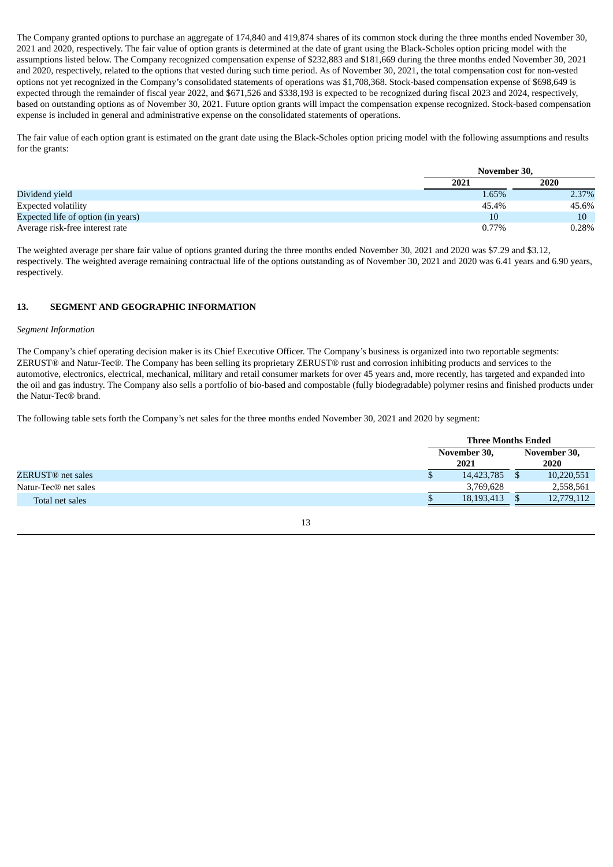The Company granted options to purchase an aggregate of 174,840 and 419,874 shares of its common stock during the three months ended November 30, 2021 and 2020, respectively. The fair value of option grants is determined at the date of grant using the Black-Scholes option pricing model with the assumptions listed below. The Company recognized compensation expense of \$232,883 and \$181,669 during the three months ended November 30, 2021 and 2020, respectively, related to the options that vested during such time period. As of November 30, 2021, the total compensation cost for non-vested options not yet recognized in the Company's consolidated statements of operations was \$1,708,368. Stock-based compensation expense of \$698,649 is expected through the remainder of fiscal year 2022, and \$671,526 and \$338,193 is expected to be recognized during fiscal 2023 and 2024, respectively, based on outstanding options as of November 30, 2021. Future option grants will impact the compensation expense recognized. Stock-based compensation expense is included in general and administrative expense on the consolidated statements of operations.

The fair value of each option grant is estimated on the grant date using the Black-Scholes option pricing model with the following assumptions and results for the grants:

|                                    | November 30, |       |
|------------------------------------|--------------|-------|
|                                    | 2021         | 2020  |
| Dividend yield                     | 1.65%        | 2.37% |
| Expected volatility                | 45.4%        | 45.6% |
| Expected life of option (in years) | 10           | 10    |
| Average risk-free interest rate    | 0.77%        | 0.28% |

The weighted average per share fair value of options granted during the three months ended November 30, 2021 and 2020 was \$7.29 and \$3.12, respectively. The weighted average remaining contractual life of the options outstanding as of November 30, 2021 and 2020 was 6.41 years and 6.90 years, respectively.

## **13. SEGMENT AND GEOGRAPHIC INFORMATION**

#### *Segment Information*

The Company's chief operating decision maker is its Chief Executive Officer. The Company's business is organized into two reportable segments: ZERUST® and Natur-Tec®. The Company has been selling its proprietary ZERUST® rust and corrosion inhibiting products and services to the automotive, electronics, electrical, mechanical, military and retail consumer markets for over 45 years and, more recently, has targeted and expanded into the oil and gas industry. The Company also sells a portfolio of bio-based and compostable (fully biodegradable) polymer resins and finished products under the Natur-Tec® brand.

The following table sets forth the Company's net sales for the three months ended November 30, 2021 and 2020 by segment:

|                      |   | <b>Three Months Ended</b>    |  |              |  |  |
|----------------------|---|------------------------------|--|--------------|--|--|
|                      |   | November 30,<br>2020<br>2021 |  | November 30, |  |  |
| ZERUST® net sales    | D | 14,423,785                   |  | 10,220,551   |  |  |
| Natur-Tec® net sales |   | 3,769,628                    |  | 2,558,561    |  |  |
| Total net sales      |   | 18,193,413                   |  | 12,779,112   |  |  |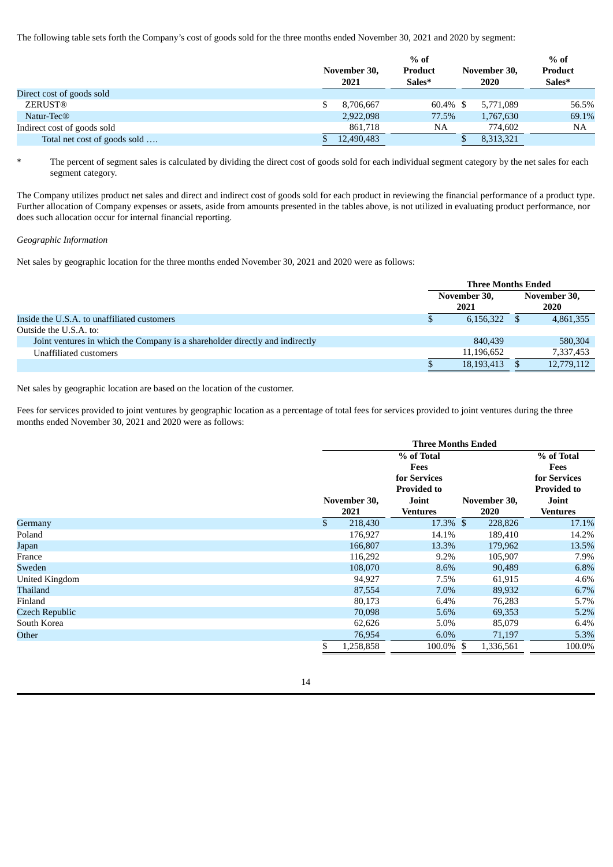The following table sets forth the Company's cost of goods sold for the three months ended November 30, 2021 and 2020 by segment:

|                              |                      | $%$ of                   |                      |                          |
|------------------------------|----------------------|--------------------------|----------------------|--------------------------|
|                              | November 30,<br>2021 | <b>Product</b><br>Sales* | November 30,<br>2020 | <b>Product</b><br>Sales* |
| Direct cost of goods sold    |                      |                          |                      |                          |
| <b>ZERUST®</b>               | 8.706.667            | $60.4\%$ \$              | 5.771.089            | 56.5%                    |
| Natur-Tec $\mathbb R$        | 2,922,098            | 77.5%                    | 1,767,630            | 69.1%                    |
| Indirect cost of goods sold  | 861.718              | NA                       | 774,602              | NA                       |
| Total net cost of goods sold | 12,490,483           |                          | 8,313,321            |                          |

The percent of segment sales is calculated by dividing the direct cost of goods sold for each individual segment category by the net sales for each segment category.

The Company utilizes product net sales and direct and indirect cost of goods sold for each product in reviewing the financial performance of a product type. Further allocation of Company expenses or assets, aside from amounts presented in the tables above, is not utilized in evaluating product performance, nor does such allocation occur for internal financial reporting.

#### *Geographic Information*

Net sales by geographic location for the three months ended November 30, 2021 and 2020 were as follows:

|                                                                              | <b>Three Months Ended</b> |                      |  |  |
|------------------------------------------------------------------------------|---------------------------|----------------------|--|--|
|                                                                              | November 30,<br>2021      | November 30,<br>2020 |  |  |
| Inside the U.S.A. to unaffiliated customers                                  | 6.156.322                 | 4,861,355            |  |  |
| Outside the U.S.A. to:                                                       |                           |                      |  |  |
| Joint ventures in which the Company is a shareholder directly and indirectly | 840,439                   | 580,304              |  |  |
| Unaffiliated customers                                                       | 11,196,652                | 7,337,453            |  |  |
|                                                                              | 18,193,413                | 12,779,112           |  |  |

Net sales by geographic location are based on the location of the customer.

Fees for services provided to joint ventures by geographic location as a percentage of total fees for services provided to joint ventures during the three months ended November 30, 2021 and 2020 were as follows:

|                       |              | <b>Three Months Ended</b> |                       |           |                    |  |  |  |
|-----------------------|--------------|---------------------------|-----------------------|-----------|--------------------|--|--|--|
|                       |              |                           | % of Total            |           | % of Total         |  |  |  |
|                       |              |                           | Fees                  |           | Fees               |  |  |  |
|                       |              |                           | for Services          |           | for Services       |  |  |  |
|                       |              |                           | <b>Provided to</b>    |           | <b>Provided to</b> |  |  |  |
|                       |              | November 30,              | Joint<br>November 30, |           | Joint              |  |  |  |
|                       |              | 2021                      | <b>Ventures</b>       | 2020      | <b>Ventures</b>    |  |  |  |
| Germany               | $\mathbb{S}$ | 218,430                   | 17.3% \$              | 228,826   | 17.1%              |  |  |  |
| Poland                |              | 176,927                   | 14.1%                 | 189,410   | 14.2%              |  |  |  |
| Japan                 |              | 166,807                   | 13.3%                 | 179,962   | 13.5%              |  |  |  |
| France                |              | 116,292                   | 9.2%                  | 105,907   | 7.9%               |  |  |  |
| Sweden                |              | 108,070                   | 8.6%                  | 90,489    | 6.8%               |  |  |  |
| <b>United Kingdom</b> |              | 94,927                    | 7.5%                  | 61,915    | 4.6%               |  |  |  |
| Thailand              |              | 87,554                    | 7.0%                  | 89,932    | 6.7%               |  |  |  |
| Finland               |              | 80,173                    | 6.4%                  | 76,283    | 5.7%               |  |  |  |
| Czech Republic        |              | 70,098                    | 5.6%                  | 69,353    | 5.2%               |  |  |  |
| South Korea           |              | 62,626                    | 5.0%                  | 85,079    | 6.4%               |  |  |  |
| Other                 |              | 76,954                    | 6.0%                  | 71,197    | 5.3%               |  |  |  |
|                       | \$           | 1,258,858                 | 100.0% \$             | 1,336,561 | 100.0%             |  |  |  |

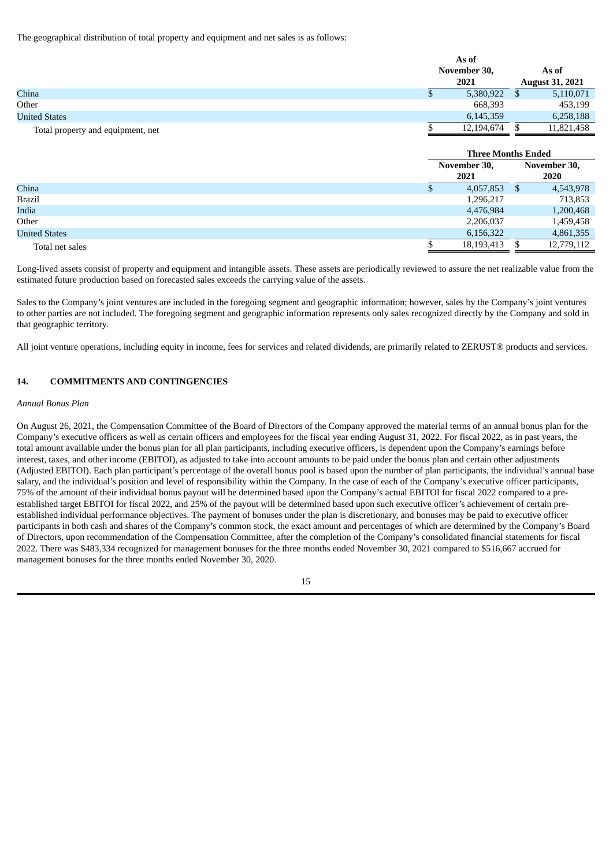The geographical distribution of total property and equipment and net sales is as follows:

|                                   | As of<br>November 30,     |                        | As of      |  |
|-----------------------------------|---------------------------|------------------------|------------|--|
|                                   | 2021                      | <b>August 31, 2021</b> |            |  |
| China                             | 5,380,922                 | - \$                   | 5,110,071  |  |
| Other                             | 668,393                   |                        | 453,199    |  |
| <b>United States</b>              | 6,145,359                 |                        | 6,258,188  |  |
| Total property and equipment, net | 12,194,674                |                        | 11,821,458 |  |
|                                   | <b>Three Months Ended</b> |                        |            |  |

|                      | November 30,<br>2021 | November 30,<br>2020 |            |  |
|----------------------|----------------------|----------------------|------------|--|
| China                | 4,057,853            | -S                   | 4,543,978  |  |
| <b>Brazil</b>        | 1,296,217            |                      | 713,853    |  |
| India                | 4,476,984            |                      | 1,200,468  |  |
| Other                | 2,206,037            |                      | 1,459,458  |  |
| <b>United States</b> | 6,156,322            |                      | 4,861,355  |  |
| Total net sales      | 18,193,413           |                      | 12,779,112 |  |

Long-lived assets consist of property and equipment and intangible assets. These assets are periodically reviewed to assure the net realizable value from the estimated future production based on forecasted sales exceeds the carrying value of the assets.

Sales to the Company's joint ventures are included in the foregoing segment and geographic information; however, sales by the Company's joint ventures to other parties are not included. The foregoing segment and geographic information represents only sales recognized directly by the Company and sold in that geographic territory.

All joint venture operations, including equity in income, fees for services and related dividends, are primarily related to ZERUST® products and services.

#### **14. COMMITMENTS AND CONTINGENCIES**

#### *Annual Bonus Plan*

On August 26, 2021, the Compensation Committee of the Board of Directors of the Company approved the material terms of an annual bonus plan for the Company's executive officers as well as certain officers and employees for the fiscal year ending August 31, 2022. For fiscal 2022, as in past years, the total amount available under the bonus plan for all plan participants, including executive officers, is dependent upon the Company's earnings before interest, taxes, and other income (EBITOI), as adjusted to take into account amounts to be paid under the bonus plan and certain other adjustments (Adjusted EBITOI). Each plan participant's percentage of the overall bonus pool is based upon the number of plan participants, the individual's annual base salary, and the individual's position and level of responsibility within the Company. In the case of each of the Company's executive officer participants, 75% of the amount of their individual bonus payout will be determined based upon the Company's actual EBITOI for fiscal 2022 compared to a preestablished target EBITOI for fiscal 2022, and 25% of the payout will be determined based upon such executive officer's achievement of certain preestablished individual performance objectives. The payment of bonuses under the plan is discretionary, and bonuses may be paid to executive officer participants in both cash and shares of the Company's common stock, the exact amount and percentages of which are determined by the Company's Board of Directors, upon recommendation of the Compensation Committee, after the completion of the Company's consolidated financial statements for fiscal 2022. There was \$483,334 recognized for management bonuses for the three months ended November 30, 2021 compared to \$516,667 accrued for management bonuses for the three months ended November 30, 2020.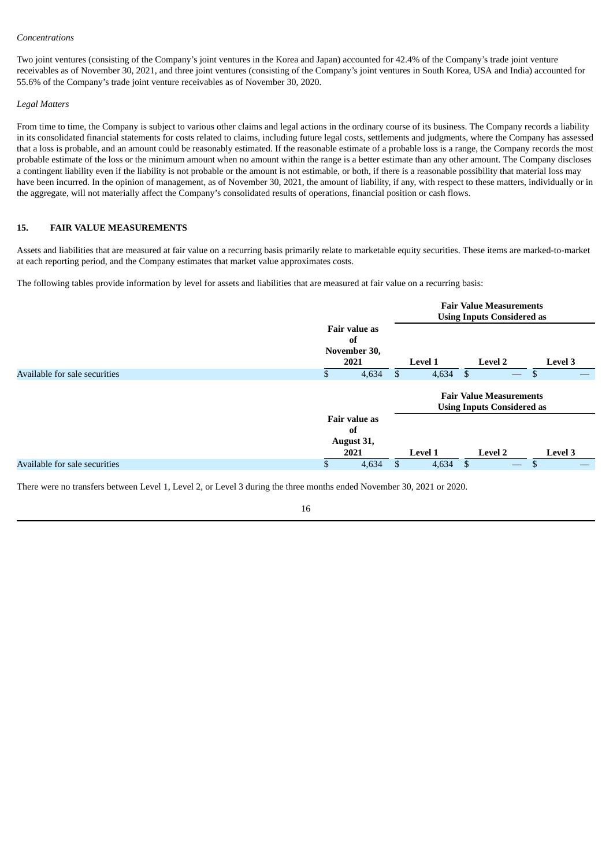## *Concentrations*

Two joint ventures (consisting of the Company's joint ventures in the Korea and Japan) accounted for 42.4% of the Company's trade joint venture receivables as of November 30, 2021, and three joint ventures (consisting of the Company's joint ventures in South Korea, USA and India) accounted for 55.6% of the Company's trade joint venture receivables as of November 30, 2020.

#### *Legal Matters*

From time to time, the Company is subject to various other claims and legal actions in the ordinary course of its business. The Company records a liability in its consolidated financial statements for costs related to claims, including future legal costs, settlements and judgments, where the Company has assessed that a loss is probable, and an amount could be reasonably estimated. If the reasonable estimate of a probable loss is a range, the Company records the most probable estimate of the loss or the minimum amount when no amount within the range is a better estimate than any other amount. The Company discloses a contingent liability even if the liability is not probable or the amount is not estimable, or both, if there is a reasonable possibility that material loss may have been incurred. In the opinion of management, as of November 30, 2021, the amount of liability, if any, with respect to these matters, individually or in the aggregate, will not materially affect the Company's consolidated results of operations, financial position or cash flows.

#### **15. FAIR VALUE MEASUREMENTS**

Assets and liabilities that are measured at fair value on a recurring basis primarily relate to marketable equity securities. These items are marked-to-market at each reporting period, and the Company estimates that market value approximates costs.

The following tables provide information by level for assets and liabilities that are measured at fair value on a recurring basis:

|                               |                                                  | <b>Fair Value Measurements</b><br><b>Using Inputs Considered as</b> |                                                                     |                |  |
|-------------------------------|--------------------------------------------------|---------------------------------------------------------------------|---------------------------------------------------------------------|----------------|--|
|                               | Fair value as<br>of<br>November 30,<br>2021      | <b>Level 1</b>                                                      | <b>Level 2</b>                                                      | <b>Level 3</b> |  |
| Available for sale securities | 4,634<br>\$                                      | 4,634 \$<br>\$                                                      |                                                                     | - \$           |  |
|                               |                                                  |                                                                     | <b>Fair Value Measurements</b><br><b>Using Inputs Considered as</b> |                |  |
|                               | <b>Fair value as</b><br>of<br>August 31,<br>2021 | <b>Level 1</b>                                                      | <b>Level 2</b>                                                      | <b>Level 3</b> |  |
| Available for sale securities | 4,634<br>S.                                      | $4,634$ \$                                                          | $\overbrace{\phantom{12333}}$                                       |                |  |

There were no transfers between Level 1, Level 2, or Level 3 during the three months ended November 30, 2021 or 2020.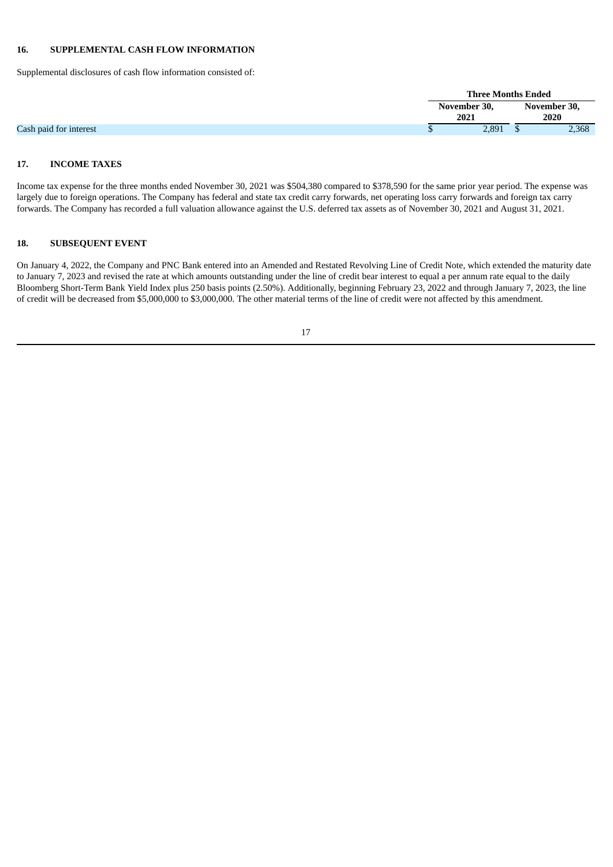### **16. SUPPLEMENTAL CASH FLOW INFORMATION**

Supplemental disclosures of cash flow information consisted of:

|                        |      | <b>Three Months Ended</b> |      |              |  |
|------------------------|------|---------------------------|------|--------------|--|
|                        |      | November 30,              |      | November 30, |  |
|                        | 2021 |                           | 2020 |              |  |
| Cash paid for interest |      | 2,891                     |      | 2,368        |  |

## **17. INCOME TAXES**

Income tax expense for the three months ended November 30, 2021 was \$504,380 compared to \$378,590 for the same prior year period. The expense was largely due to foreign operations. The Company has federal and state tax credit carry forwards, net operating loss carry forwards and foreign tax carry forwards. The Company has recorded a full valuation allowance against the U.S. deferred tax assets as of November 30, 2021 and August 31, 2021.

## **18. SUBSEQUENT EVENT**

On January 4, 2022, the Company and PNC Bank entered into an Amended and Restated Revolving Line of Credit Note, which extended the maturity date to January 7, 2023 and revised the rate at which amounts outstanding under the line of credit bear interest to equal a per annum rate equal to the daily Bloomberg Short-Term Bank Yield Index plus 250 basis points (2.50%). Additionally, beginning February 23, 2022 and through January 7, 2023, the line of credit will be decreased from \$5,000,000 to \$3,000,000. The other material terms of the line of credit were not affected by this amendment.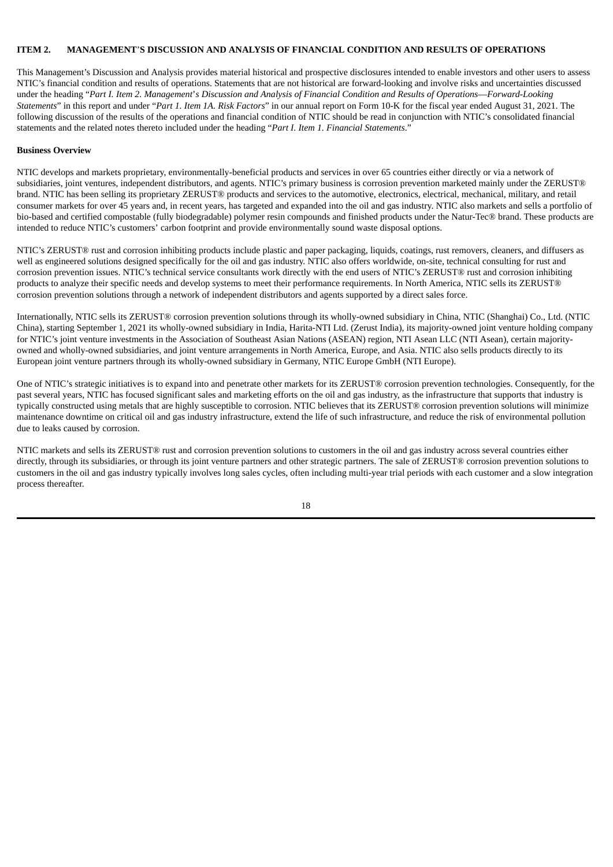## <span id="page-20-0"></span>**ITEM 2. MANAGEMENT**'**S DISCUSSION AND ANALYSIS OF FINANCIAL CONDITION AND RESULTS OF OPERATIONS**

This Management's Discussion and Analysis provides material historical and prospective disclosures intended to enable investors and other users to assess NTIC's financial condition and results of operations. Statements that are not historical are forward-looking and involve risks and uncertainties discussed under the heading "Part I. Item 2. Management's Discussion and Analysis of Financial Condition and Results of Operations—Forward-Looking *Statements*" in this report and under "*Part 1. Item 1A. Risk Factors*" in our annual report on Form 10-K for the fiscal year ended August 31, 2021. The following discussion of the results of the operations and financial condition of NTIC should be read in conjunction with NTIC's consolidated financial statements and the related notes thereto included under the heading "*Part I. Item 1. Financial Statements*."

#### **Business Overview**

NTIC develops and markets proprietary, environmentally-beneficial products and services in over 65 countries either directly or via a network of subsidiaries, joint ventures, independent distributors, and agents. NTIC's primary business is corrosion prevention marketed mainly under the ZERUST® brand. NTIC has been selling its proprietary ZERUST® products and services to the automotive, electronics, electrical, mechanical, military, and retail consumer markets for over 45 years and, in recent years, has targeted and expanded into the oil and gas industry. NTIC also markets and sells a portfolio of bio-based and certified compostable (fully biodegradable) polymer resin compounds and finished products under the Natur-Tec® brand. These products are intended to reduce NTIC's customers' carbon footprint and provide environmentally sound waste disposal options.

NTIC's ZERUST® rust and corrosion inhibiting products include plastic and paper packaging, liquids, coatings, rust removers, cleaners, and diffusers as well as engineered solutions designed specifically for the oil and gas industry. NTIC also offers worldwide, on-site, technical consulting for rust and corrosion prevention issues. NTIC's technical service consultants work directly with the end users of NTIC's ZERUST® rust and corrosion inhibiting products to analyze their specific needs and develop systems to meet their performance requirements. In North America, NTIC sells its ZERUST® corrosion prevention solutions through a network of independent distributors and agents supported by a direct sales force.

Internationally, NTIC sells its ZERUST® corrosion prevention solutions through its wholly-owned subsidiary in China, NTIC (Shanghai) Co., Ltd. (NTIC China), starting September 1, 2021 its wholly-owned subsidiary in India, Harita-NTI Ltd. (Zerust India), its majority-owned joint venture holding company for NTIC's joint venture investments in the Association of Southeast Asian Nations (ASEAN) region, NTI Asean LLC (NTI Asean), certain majorityowned and wholly-owned subsidiaries, and joint venture arrangements in North America, Europe, and Asia. NTIC also sells products directly to its European joint venture partners through its wholly-owned subsidiary in Germany, NTIC Europe GmbH (NTI Europe).

One of NTIC's strategic initiatives is to expand into and penetrate other markets for its ZERUST® corrosion prevention technologies. Consequently, for the past several years, NTIC has focused significant sales and marketing efforts on the oil and gas industry, as the infrastructure that supports that industry is typically constructed using metals that are highly susceptible to corrosion. NTIC believes that its ZERUST® corrosion prevention solutions will minimize maintenance downtime on critical oil and gas industry infrastructure, extend the life of such infrastructure, and reduce the risk of environmental pollution due to leaks caused by corrosion.

NTIC markets and sells its ZERUST® rust and corrosion prevention solutions to customers in the oil and gas industry across several countries either directly, through its subsidiaries, or through its joint venture partners and other strategic partners. The sale of ZERUST® corrosion prevention solutions to customers in the oil and gas industry typically involves long sales cycles, often including multi-year trial periods with each customer and a slow integration process thereafter.

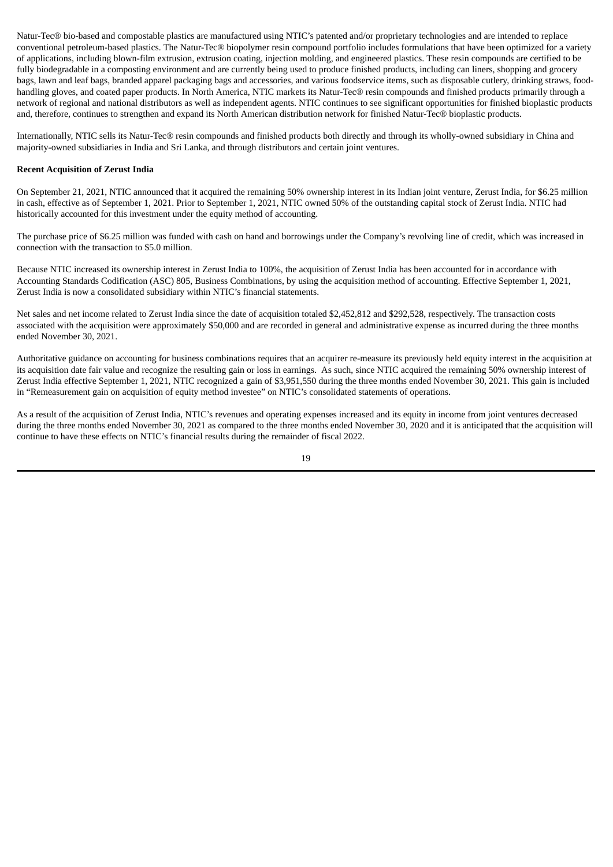Natur-Tec® bio-based and compostable plastics are manufactured using NTIC's patented and/or proprietary technologies and are intended to replace conventional petroleum-based plastics. The Natur-Tec® biopolymer resin compound portfolio includes formulations that have been optimized for a variety of applications, including blown-film extrusion, extrusion coating, injection molding, and engineered plastics. These resin compounds are certified to be fully biodegradable in a composting environment and are currently being used to produce finished products, including can liners, shopping and grocery bags, lawn and leaf bags, branded apparel packaging bags and accessories, and various foodservice items, such as disposable cutlery, drinking straws, foodhandling gloves, and coated paper products. In North America, NTIC markets its Natur-Tec® resin compounds and finished products primarily through a network of regional and national distributors as well as independent agents. NTIC continues to see significant opportunities for finished bioplastic products and, therefore, continues to strengthen and expand its North American distribution network for finished Natur-Tec® bioplastic products.

Internationally, NTIC sells its Natur-Tec® resin compounds and finished products both directly and through its wholly-owned subsidiary in China and majority-owned subsidiaries in India and Sri Lanka, and through distributors and certain joint ventures.

#### **Recent Acquisition of Zerust India**

On September 21, 2021, NTIC announced that it acquired the remaining 50% ownership interest in its Indian joint venture, Zerust India, for \$6.25 million in cash, effective as of September 1, 2021. Prior to September 1, 2021, NTIC owned 50% of the outstanding capital stock of Zerust India. NTIC had historically accounted for this investment under the equity method of accounting.

The purchase price of \$6.25 million was funded with cash on hand and borrowings under the Company's revolving line of credit, which was increased in connection with the transaction to \$5.0 million.

Because NTIC increased its ownership interest in Zerust India to 100%, the acquisition of Zerust India has been accounted for in accordance with Accounting Standards Codification (ASC) 805, Business Combinations, by using the acquisition method of accounting. Effective September 1, 2021, Zerust India is now a consolidated subsidiary within NTIC's financial statements.

Net sales and net income related to Zerust India since the date of acquisition totaled \$2,452,812 and \$292,528, respectively. The transaction costs associated with the acquisition were approximately \$50,000 and are recorded in general and administrative expense as incurred during the three months ended November 30, 2021.

Authoritative guidance on accounting for business combinations requires that an acquirer re-measure its previously held equity interest in the acquisition at its acquisition date fair value and recognize the resulting gain or loss in earnings. As such, since NTIC acquired the remaining 50% ownership interest of Zerust India effective September 1, 2021, NTIC recognized a gain of \$3,951,550 during the three months ended November 30, 2021. This gain is included in "Remeasurement gain on acquisition of equity method investee" on NTIC's consolidated statements of operations.

As a result of the acquisition of Zerust India, NTIC's revenues and operating expenses increased and its equity in income from joint ventures decreased during the three months ended November 30, 2021 as compared to the three months ended November 30, 2020 and it is anticipated that the acquisition will continue to have these effects on NTIC's financial results during the remainder of fiscal 2022.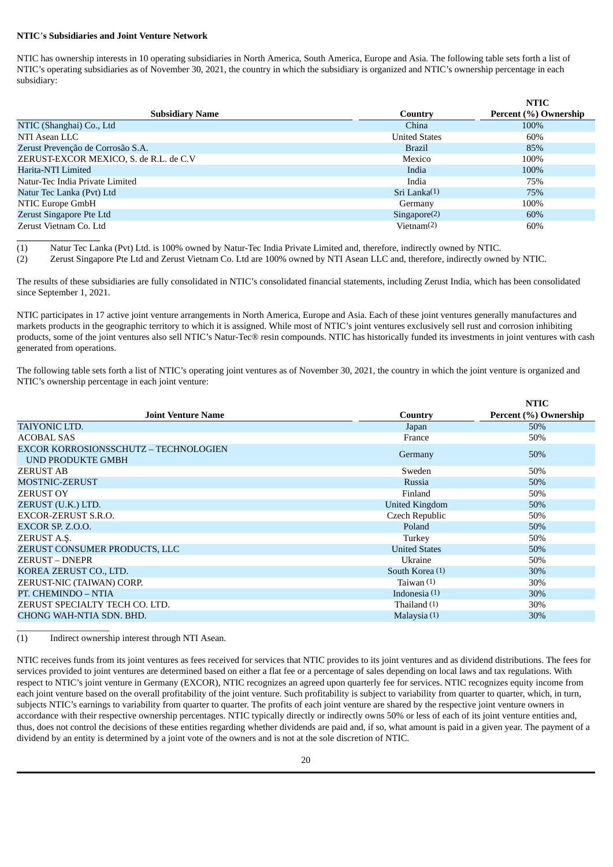#### **NTIC**'**s Subsidiaries and Joint Venture Network**

**\_\_\_\_\_\_\_\_\_\_\_\_\_\_\_\_\_\_**

NTIC has ownership interests in 10 operating subsidiaries in North America, South America, Europe and Asia. The following table sets forth a list of NTIC's operating subsidiaries as of November 30, 2021, the country in which the subsidiary is organized and NTIC's ownership percentage in each subsidiary:

|                                        |                      | <b>NTIC</b>           |
|----------------------------------------|----------------------|-----------------------|
| <b>Subsidiary Name</b>                 | Country              | Percent (%) Ownership |
| NTIC (Shanghai) Co., Ltd               | China                | 100%                  |
| NTI Asean LLC                          | <b>United States</b> | 60%                   |
| Zerust Prevenção de Corrosão S.A.      | <b>Brazil</b>        | 85%                   |
| ZERUST-EXCOR MEXICO, S. de R.L. de C.V | Mexico               | 100%                  |
| Harita-NTI Limited                     | India                | 100%                  |
| Natur-Tec India Private Limited        | India                | 75%                   |
| Natur Tec Lanka (Pvt) Ltd              | $Sri$ Lanka $(1)$    | 75%                   |
| NTIC Europe GmbH                       | Germany              | 100%                  |
| Zerust Singapore Pte Ltd               | Singapore(2)         | 60%                   |
| Zerust Vietnam Co. Ltd                 | $V$ ietnam $(2)$     | 60%                   |

(1) Natur Tec Lanka (Pvt) Ltd. is 100% owned by Natur-Tec India Private Limited and, therefore, indirectly owned by NTIC.

(2) Zerust Singapore Pte Ltd and Zerust Vietnam Co. Ltd are 100% owned by NTI Asean LLC and, therefore, indirectly owned by NTIC.

The results of these subsidiaries are fully consolidated in NTIC's consolidated financial statements, including Zerust India, which has been consolidated since September 1, 2021.

NTIC participates in 17 active joint venture arrangements in North America, Europe and Asia. Each of these joint ventures generally manufactures and markets products in the geographic territory to which it is assigned. While most of NTIC's joint ventures exclusively sell rust and corrosion inhibiting products, some of the joint ventures also sell NTIC's Natur-Tec® resin compounds. NTIC has historically funded its investments in joint ventures with cash generated from operations.

The following table sets forth a list of NTIC's operating joint ventures as of November 30, 2021, the country in which the joint venture is organized and NTIC's ownership percentage in each joint venture:

**NTIC**

|                                                                   |                       | NTIC                  |
|-------------------------------------------------------------------|-----------------------|-----------------------|
| <b>Joint Venture Name</b>                                         | Country               | Percent (%) Ownership |
| TAIYONIC LTD.                                                     | Japan                 | 50%                   |
| <b>ACOBAL SAS</b>                                                 | France                | 50%                   |
| EXCOR KORROSIONSSCHUTZ - TECHNOLOGIEN<br><b>UND PRODUKTE GMBH</b> | Germany               | 50%                   |
| <b>ZERUST AB</b>                                                  | Sweden                | 50%                   |
| MOSTNIC-ZERUST                                                    | Russia                | 50%                   |
| <b>ZERUST OY</b>                                                  | Finland               | 50%                   |
| ZERUST (U.K.) LTD.                                                | <b>United Kingdom</b> | 50%                   |
| EXCOR-ZERUST S.R.O.                                               | Czech Republic        | 50%                   |
| EXCOR SP. Z.O.O.                                                  | Poland                | 50%                   |
| ZERUST A.S.                                                       | Turkey                | 50%                   |
| ZERUST CONSUMER PRODUCTS, LLC                                     | <b>United States</b>  | 50%                   |
| <b>ZERUST - DNEPR</b>                                             | Ukraine               | 50%                   |
| KOREA ZERUST CO., LTD.                                            | South Korea $(1)$     | 30%                   |
| ZERUST-NIC (TAIWAN) CORP.                                         | Taiwan $(1)$          | 30%                   |
| PT. CHEMINDO - NTIA                                               | Indonesia $(1)$       | 30%                   |
| ZERUST SPECIALTY TECH CO. LTD.                                    | Thailand $(1)$        | 30%                   |
| CHONG WAH-NTIA SDN, BHD.                                          | Malaysia (1)          | 30%                   |
|                                                                   |                       |                       |

(1) Indirect ownership interest through NTI Asean.

NTIC receives funds from its joint ventures as fees received for services that NTIC provides to its joint ventures and as dividend distributions. The fees for services provided to joint ventures are determined based on either a flat fee or a percentage of sales depending on local laws and tax regulations. With respect to NTIC's joint venture in Germany (EXCOR), NTIC recognizes an agreed upon quarterly fee for services. NTIC recognizes equity income from each joint venture based on the overall profitability of the joint venture. Such profitability is subject to variability from quarter to quarter, which, in turn, subjects NTIC's earnings to variability from quarter to quarter. The profits of each joint venture are shared by the respective joint venture owners in accordance with their respective ownership percentages. NTIC typically directly or indirectly owns 50% or less of each of its joint venture entities and, thus, does not control the decisions of these entities regarding whether dividends are paid and, if so, what amount is paid in a given year. The payment of a dividend by an entity is determined by a joint vote of the owners and is not at the sole discretion of NTIC.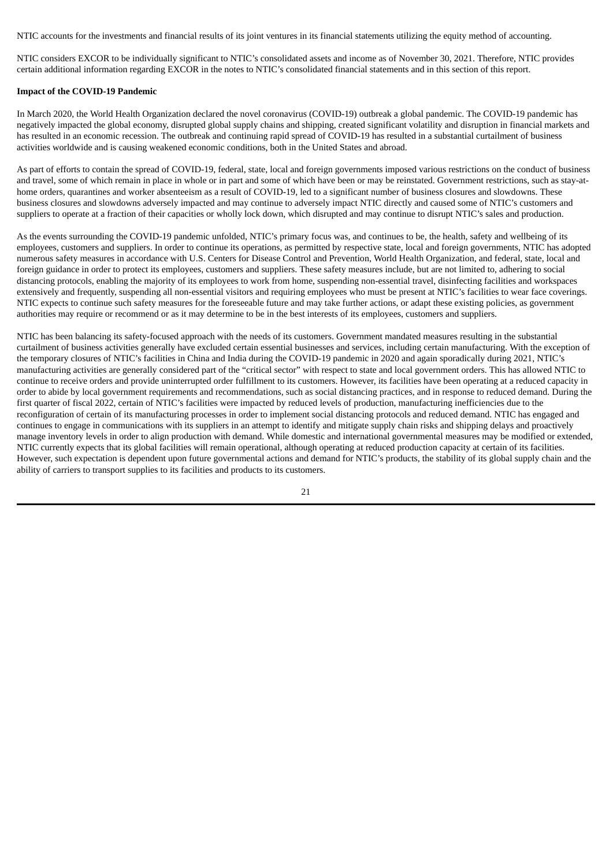NTIC accounts for the investments and financial results of its joint ventures in its financial statements utilizing the equity method of accounting.

NTIC considers EXCOR to be individually significant to NTIC's consolidated assets and income as of November 30, 2021. Therefore, NTIC provides certain additional information regarding EXCOR in the notes to NTIC's consolidated financial statements and in this section of this report.

#### **Impact of the COVID-19 Pandemic**

In March 2020, the World Health Organization declared the novel coronavirus (COVID-19) outbreak a global pandemic. The COVID-19 pandemic has negatively impacted the global economy, disrupted global supply chains and shipping, created significant volatility and disruption in financial markets and has resulted in an economic recession. The outbreak and continuing rapid spread of COVID-19 has resulted in a substantial curtailment of business activities worldwide and is causing weakened economic conditions, both in the United States and abroad.

As part of efforts to contain the spread of COVID-19, federal, state, local and foreign governments imposed various restrictions on the conduct of business and travel, some of which remain in place in whole or in part and some of which have been or may be reinstated. Government restrictions, such as stay-athome orders, quarantines and worker absenteeism as a result of COVID-19, led to a significant number of business closures and slowdowns. These business closures and slowdowns adversely impacted and may continue to adversely impact NTIC directly and caused some of NTIC's customers and suppliers to operate at a fraction of their capacities or wholly lock down, which disrupted and may continue to disrupt NTIC's sales and production.

As the events surrounding the COVID-19 pandemic unfolded, NTIC's primary focus was, and continues to be, the health, safety and wellbeing of its employees, customers and suppliers. In order to continue its operations, as permitted by respective state, local and foreign governments, NTIC has adopted numerous safety measures in accordance with U.S. Centers for Disease Control and Prevention, World Health Organization, and federal, state, local and foreign guidance in order to protect its employees, customers and suppliers. These safety measures include, but are not limited to, adhering to social distancing protocols, enabling the majority of its employees to work from home, suspending non-essential travel, disinfecting facilities and workspaces extensively and frequently, suspending all non-essential visitors and requiring employees who must be present at NTIC's facilities to wear face coverings. NTIC expects to continue such safety measures for the foreseeable future and may take further actions, or adapt these existing policies, as government authorities may require or recommend or as it may determine to be in the best interests of its employees, customers and suppliers.

NTIC has been balancing its safety-focused approach with the needs of its customers. Government mandated measures resulting in the substantial curtailment of business activities generally have excluded certain essential businesses and services, including certain manufacturing. With the exception of the temporary closures of NTIC's facilities in China and India during the COVID-19 pandemic in 2020 and again sporadically during 2021, NTIC's manufacturing activities are generally considered part of the "critical sector" with respect to state and local government orders. This has allowed NTIC to continue to receive orders and provide uninterrupted order fulfillment to its customers. However, its facilities have been operating at a reduced capacity in order to abide by local government requirements and recommendations, such as social distancing practices, and in response to reduced demand. During the first quarter of fiscal 2022, certain of NTIC's facilities were impacted by reduced levels of production, manufacturing inefficiencies due to the reconfiguration of certain of its manufacturing processes in order to implement social distancing protocols and reduced demand. NTIC has engaged and continues to engage in communications with its suppliers in an attempt to identify and mitigate supply chain risks and shipping delays and proactively manage inventory levels in order to align production with demand. While domestic and international governmental measures may be modified or extended, NTIC currently expects that its global facilities will remain operational, although operating at reduced production capacity at certain of its facilities. However, such expectation is dependent upon future governmental actions and demand for NTIC's products, the stability of its global supply chain and the ability of carriers to transport supplies to its facilities and products to its customers.

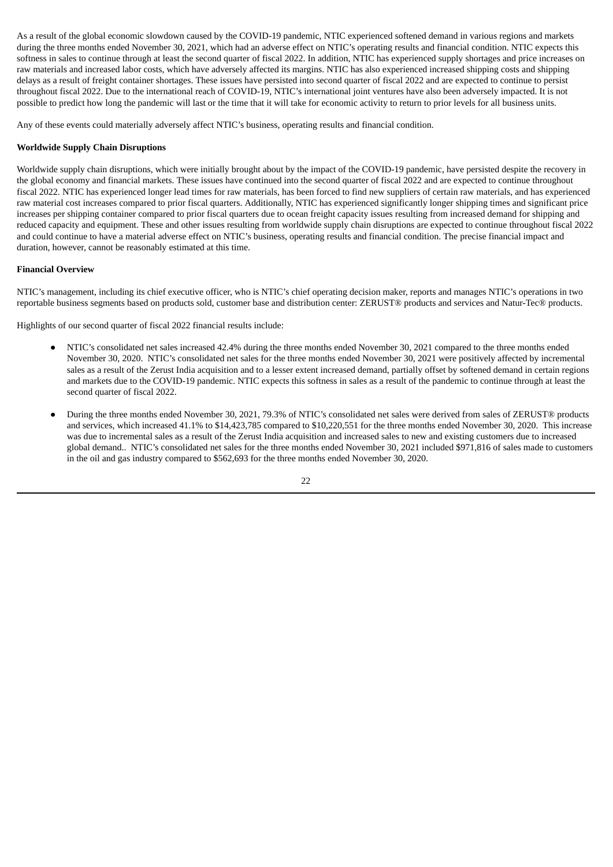As a result of the global economic slowdown caused by the COVID-19 pandemic, NTIC experienced softened demand in various regions and markets during the three months ended November 30, 2021, which had an adverse effect on NTIC's operating results and financial condition. NTIC expects this softness in sales to continue through at least the second quarter of fiscal 2022. In addition, NTIC has experienced supply shortages and price increases on raw materials and increased labor costs, which have adversely affected its margins. NTIC has also experienced increased shipping costs and shipping delays as a result of freight container shortages. These issues have persisted into second quarter of fiscal 2022 and are expected to continue to persist throughout fiscal 2022. Due to the international reach of COVID-19, NTIC's international joint ventures have also been adversely impacted. It is not possible to predict how long the pandemic will last or the time that it will take for economic activity to return to prior levels for all business units.

Any of these events could materially adversely affect NTIC's business, operating results and financial condition.

### **Worldwide Supply Chain Disruptions**

Worldwide supply chain disruptions, which were initially brought about by the impact of the COVID-19 pandemic, have persisted despite the recovery in the global economy and financial markets. These issues have continued into the second quarter of fiscal 2022 and are expected to continue throughout fiscal 2022. NTIC has experienced longer lead times for raw materials, has been forced to find new suppliers of certain raw materials, and has experienced raw material cost increases compared to prior fiscal quarters. Additionally, NTIC has experienced significantly longer shipping times and significant price increases per shipping container compared to prior fiscal quarters due to ocean freight capacity issues resulting from increased demand for shipping and reduced capacity and equipment. These and other issues resulting from worldwide supply chain disruptions are expected to continue throughout fiscal 2022 and could continue to have a material adverse effect on NTIC's business, operating results and financial condition. The precise financial impact and duration, however, cannot be reasonably estimated at this time.

#### **Financial Overview**

NTIC's management, including its chief executive officer, who is NTIC's chief operating decision maker, reports and manages NTIC's operations in two reportable business segments based on products sold, customer base and distribution center: ZERUST® products and services and Natur-Tec® products.

Highlights of our second quarter of fiscal 2022 financial results include:

- NTIC's consolidated net sales increased 42.4% during the three months ended November 30, 2021 compared to the three months ended November 30, 2020. NTIC's consolidated net sales for the three months ended November 30, 2021 were positively affected by incremental sales as a result of the Zerust India acquisition and to a lesser extent increased demand, partially offset by softened demand in certain regions and markets due to the COVID-19 pandemic. NTIC expects this softness in sales as a result of the pandemic to continue through at least the second quarter of fiscal 2022.
- During the three months ended November 30, 2021, 79.3% of NTIC's consolidated net sales were derived from sales of ZERUST® products and services, which increased 41.1% to \$14,423,785 compared to \$10,220,551 for the three months ended November 30, 2020. This increase was due to incremental sales as a result of the Zerust India acquisition and increased sales to new and existing customers due to increased global demand.. NTIC's consolidated net sales for the three months ended November 30, 2021 included \$971,816 of sales made to customers in the oil and gas industry compared to \$562,693 for the three months ended November 30, 2020.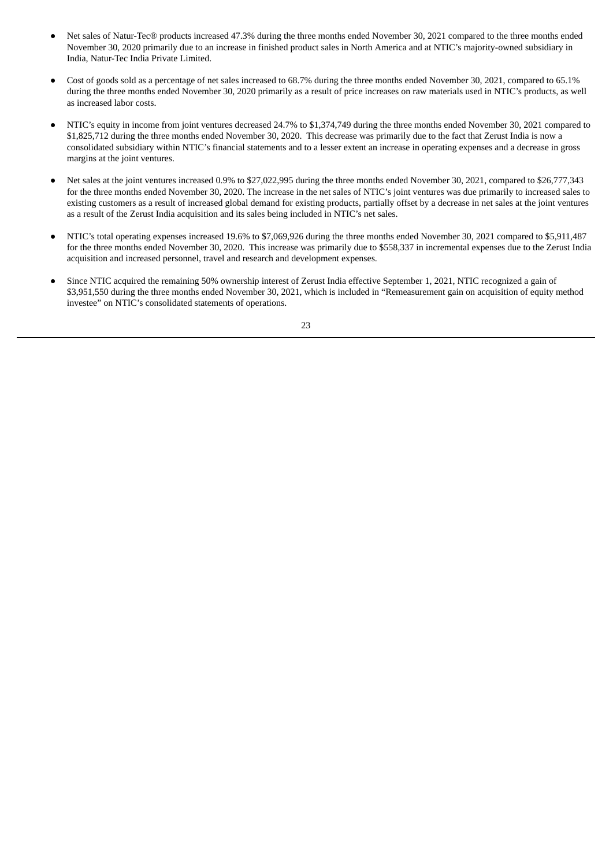- Net sales of Natur-Tec® products increased 47.3% during the three months ended November 30, 2021 compared to the three months ended November 30, 2020 primarily due to an increase in finished product sales in North America and at NTIC's majority-owned subsidiary in India, Natur-Tec India Private Limited.
- Cost of goods sold as a percentage of net sales increased to 68.7% during the three months ended November 30, 2021, compared to 65.1% during the three months ended November 30, 2020 primarily as a result of price increases on raw materials used in NTIC's products, as well as increased labor costs.
- NTIC's equity in income from joint ventures decreased 24.7% to \$1,374,749 during the three months ended November 30, 2021 compared to \$1,825,712 during the three months ended November 30, 2020. This decrease was primarily due to the fact that Zerust India is now a consolidated subsidiary within NTIC's financial statements and to a lesser extent an increase in operating expenses and a decrease in gross margins at the joint ventures.
- Net sales at the joint ventures increased 0.9% to \$27,022,995 during the three months ended November 30, 2021, compared to \$26,777,343 for the three months ended November 30, 2020. The increase in the net sales of NTIC's joint ventures was due primarily to increased sales to existing customers as a result of increased global demand for existing products, partially offset by a decrease in net sales at the joint ventures as a result of the Zerust India acquisition and its sales being included in NTIC's net sales.
- NTIC's total operating expenses increased 19.6% to \$7,069,926 during the three months ended November 30, 2021 compared to \$5,911,487 for the three months ended November 30, 2020. This increase was primarily due to \$558,337 in incremental expenses due to the Zerust India acquisition and increased personnel, travel and research and development expenses.
- Since NTIC acquired the remaining 50% ownership interest of Zerust India effective September 1, 2021, NTIC recognized a gain of \$3,951,550 during the three months ended November 30, 2021, which is included in "Remeasurement gain on acquisition of equity method investee" on NTIC's consolidated statements of operations.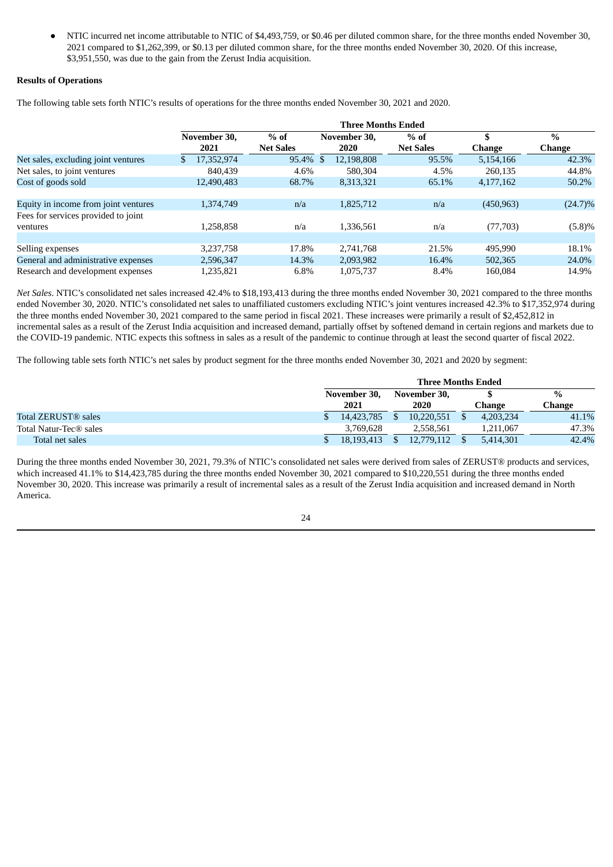NTIC incurred net income attributable to NTIC of \$4,493,759, or \$0.46 per diluted common share, for the three months ended November 30, 2021 compared to \$1,262,399, or \$0.13 per diluted common share, for the three months ended November 30, 2020. Of this increase, \$3,951,550, was due to the gain from the Zerust India acquisition.

## **Results of Operations**

The following table sets forth NTIC's results of operations for the three months ended November 30, 2021 and 2020.

|                                      | <b>Three Months Ended</b> |                  |              |                  |               |               |  |  |
|--------------------------------------|---------------------------|------------------|--------------|------------------|---------------|---------------|--|--|
|                                      | November 30.              | $%$ of           | November 30. | $%$ of           | \$            | $\frac{0}{0}$ |  |  |
|                                      | 2021                      | <b>Net Sales</b> | 2020         | <b>Net Sales</b> | <b>Change</b> | Change        |  |  |
| Net sales, excluding joint ventures  | 17,352,974<br>\$          | 95.4% \$         | 12,198,808   | 95.5%            | 5,154,166     | 42.3%         |  |  |
| Net sales, to joint ventures         | 840,439                   | 4.6%             | 580,304      | 4.5%             | 260.135       | 44.8%         |  |  |
| Cost of goods sold                   | 12,490,483                | 68.7%            | 8,313,321    | 65.1%            | 4,177,162     | 50.2%         |  |  |
|                                      |                           |                  |              |                  |               |               |  |  |
| Equity in income from joint ventures | 1,374,749                 | n/a              | 1,825,712    | n/a              | (450, 963)    | $(24.7)\%$    |  |  |
| Fees for services provided to joint  |                           |                  |              |                  |               |               |  |  |
| ventures                             | 1,258,858                 | n/a              | 1,336,561    | n/a              | (77,703)      | (5.8)%        |  |  |
|                                      |                           |                  |              |                  |               |               |  |  |
| Selling expenses                     | 3,237,758                 | 17.8%            | 2.741.768    | 21.5%            | 495.990       | 18.1%         |  |  |
| General and administrative expenses  | 2,596,347                 | 14.3%            | 2,093,982    | 16.4%            | 502,365       | 24.0%         |  |  |
| Research and development expenses    | 1,235,821                 | 6.8%             | 1,075,737    | 8.4%             | 160.084       | 14.9%         |  |  |

*Net Sales*. NTIC's consolidated net sales increased 42.4% to \$18,193,413 during the three months ended November 30, 2021 compared to the three months ended November 30, 2020. NTIC's consolidated net sales to unaffiliated customers excluding NTIC's joint ventures increased 42.3% to \$17,352,974 during the three months ended November 30, 2021 compared to the same period in fiscal 2021. These increases were primarily a result of \$2,452,812 in incremental sales as a result of the Zerust India acquisition and increased demand, partially offset by softened demand in certain regions and markets due to the COVID-19 pandemic. NTIC expects this softness in sales as a result of the pandemic to continue through at least the second quarter of fiscal 2022.

The following table sets forth NTIC's net sales by product segment for the three months ended November 30, 2021 and 2020 by segment:

|                                 | <b>Three Months Ended</b> |  |              |  |           |        |  |
|---------------------------------|---------------------------|--|--------------|--|-----------|--------|--|
|                                 | November 30,              |  | November 30. |  |           | $\%$   |  |
|                                 | 2021                      |  | 2020         |  | Change    | Change |  |
| Total ZERUST <sup>®</sup> sales | 14.423.785                |  | 10.220.551   |  | 4,203,234 | 41.1%  |  |
| Total Natur-Tec® sales          | 3.769.628                 |  | 2.558.561    |  | 1.211.067 | 47.3%  |  |
| Total net sales                 | 18.193.413                |  | 12,779,112   |  | 5.414.301 | 42.4%  |  |

During the three months ended November 30, 2021, 79.3% of NTIC's consolidated net sales were derived from sales of ZERUST® products and services, which increased 41.1% to \$14,423,785 during the three months ended November 30, 2021 compared to \$10,220,551 during the three months ended November 30, 2020. This increase was primarily a result of incremental sales as a result of the Zerust India acquisition and increased demand in North America.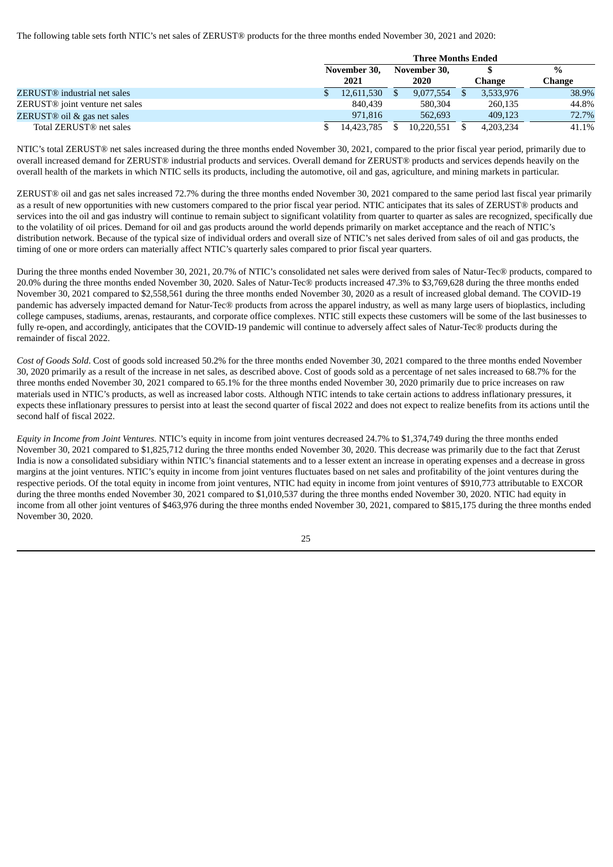The following table sets forth NTIC's net sales of ZERUST® products for the three months ended November 30, 2021 and 2020:

|                                             | <b>Three Months Ended</b> |  |              |  |           |        |  |
|---------------------------------------------|---------------------------|--|--------------|--|-----------|--------|--|
|                                             | November 30,              |  | November 30, |  |           | $\%$   |  |
|                                             | 2021                      |  | 2020         |  | Change    | Change |  |
| ZERUST <sup>®</sup> industrial net sales    | 12,611,530                |  | 9,077,554    |  | 3,533,976 | 38.9%  |  |
| ZERUST <sup>®</sup> joint venture net sales | 840,439                   |  | 580.304      |  | 260,135   | 44.8%  |  |
| ZERUST <sup>®</sup> oil & gas net sales     | 971.816                   |  | 562,693      |  | 409.123   | 72.7%  |  |
| Total ZERUST <sup>®</sup> net sales         | 14.423.785                |  | 10.220.551   |  | 4,203,234 | 41.1%  |  |

NTIC's total ZERUST® net sales increased during the three months ended November 30, 2021, compared to the prior fiscal year period, primarily due to overall increased demand for ZERUST® industrial products and services. Overall demand for ZERUST® products and services depends heavily on the overall health of the markets in which NTIC sells its products, including the automotive, oil and gas, agriculture, and mining markets in particular.

ZERUST® oil and gas net sales increased 72.7% during the three months ended November 30, 2021 compared to the same period last fiscal year primarily as a result of new opportunities with new customers compared to the prior fiscal year period. NTIC anticipates that its sales of ZERUST® products and services into the oil and gas industry will continue to remain subject to significant volatility from quarter to quarter as sales are recognized, specifically due to the volatility of oil prices. Demand for oil and gas products around the world depends primarily on market acceptance and the reach of NTIC's distribution network. Because of the typical size of individual orders and overall size of NTIC's net sales derived from sales of oil and gas products, the timing of one or more orders can materially affect NTIC's quarterly sales compared to prior fiscal year quarters.

During the three months ended November 30, 2021, 20.7% of NTIC's consolidated net sales were derived from sales of Natur-Tec® products, compared to 20.0% during the three months ended November 30, 2020. Sales of Natur-Tec® products increased 47.3% to \$3,769,628 during the three months ended November 30, 2021 compared to \$2,558,561 during the three months ended November 30, 2020 as a result of increased global demand. The COVID-19 pandemic has adversely impacted demand for Natur-Tec® products from across the apparel industry, as well as many large users of bioplastics, including college campuses, stadiums, arenas, restaurants, and corporate office complexes. NTIC still expects these customers will be some of the last businesses to fully re-open, and accordingly, anticipates that the COVID-19 pandemic will continue to adversely affect sales of Natur-Tec® products during the remainder of fiscal 2022.

*Cost of Goods Sold*. Cost of goods sold increased 50.2% for the three months ended November 30, 2021 compared to the three months ended November 30, 2020 primarily as a result of the increase in net sales, as described above. Cost of goods sold as a percentage of net sales increased to 68.7% for the three months ended November 30, 2021 compared to 65.1% for the three months ended November 30, 2020 primarily due to price increases on raw materials used in NTIC's products, as well as increased labor costs. Although NTIC intends to take certain actions to address inflationary pressures, it expects these inflationary pressures to persist into at least the second quarter of fiscal 2022 and does not expect to realize benefits from its actions until the second half of fiscal 2022.

*Equity in Income from Joint Ventures.* NTIC's equity in income from joint ventures decreased 24.7% to \$1,374,749 during the three months ended November 30, 2021 compared to \$1,825,712 during the three months ended November 30, 2020. This decrease was primarily due to the fact that Zerust India is now a consolidated subsidiary within NTIC's financial statements and to a lesser extent an increase in operating expenses and a decrease in gross margins at the joint ventures. NTIC's equity in income from joint ventures fluctuates based on net sales and profitability of the joint ventures during the respective periods. Of the total equity in income from joint ventures, NTIC had equity in income from joint ventures of \$910,773 attributable to EXCOR during the three months ended November 30, 2021 compared to \$1,010,537 during the three months ended November 30, 2020. NTIC had equity in income from all other joint ventures of \$463,976 during the three months ended November 30, 2021, compared to \$815,175 during the three months ended November 30, 2020.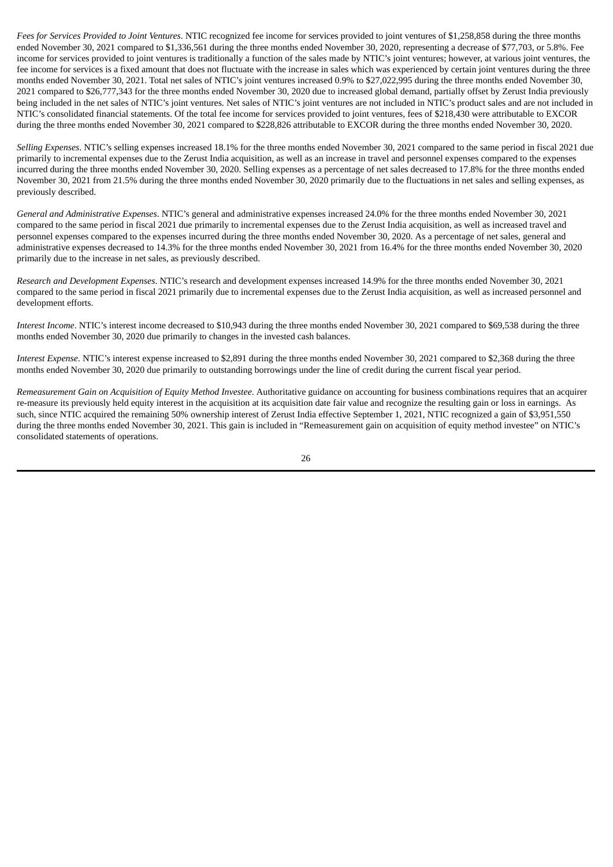*Fees for Services Provided to Joint Ventures*. NTIC recognized fee income for services provided to joint ventures of \$1,258,858 during the three months ended November 30, 2021 compared to \$1,336,561 during the three months ended November 30, 2020, representing a decrease of \$77,703, or 5.8%. Fee income for services provided to joint ventures is traditionally a function of the sales made by NTIC's joint ventures; however, at various joint ventures, the fee income for services is a fixed amount that does not fluctuate with the increase in sales which was experienced by certain joint ventures during the three months ended November 30, 2021. Total net sales of NTIC's joint ventures increased 0.9% to \$27,022,995 during the three months ended November 30, 2021 compared to \$26,777,343 for the three months ended November 30, 2020 due to increased global demand, partially offset by Zerust India previously being included in the net sales of NTIC's joint ventures. Net sales of NTIC's joint ventures are not included in NTIC's product sales and are not included in NTIC's consolidated financial statements. Of the total fee income for services provided to joint ventures, fees of \$218,430 were attributable to EXCOR during the three months ended November 30, 2021 compared to \$228,826 attributable to EXCOR during the three months ended November 30, 2020.

*Selling Expenses*. NTIC's selling expenses increased 18.1% for the three months ended November 30, 2021 compared to the same period in fiscal 2021 due primarily to incremental expenses due to the Zerust India acquisition, as well as an increase in travel and personnel expenses compared to the expenses incurred during the three months ended November 30, 2020. Selling expenses as a percentage of net sales decreased to 17.8% for the three months ended November 30, 2021 from 21.5% during the three months ended November 30, 2020 primarily due to the fluctuations in net sales and selling expenses, as previously described.

*General and Administrative Expenses*. NTIC's general and administrative expenses increased 24.0% for the three months ended November 30, 2021 compared to the same period in fiscal 2021 due primarily to incremental expenses due to the Zerust India acquisition, as well as increased travel and personnel expenses compared to the expenses incurred during the three months ended November 30, 2020. As a percentage of net sales, general and administrative expenses decreased to 14.3% for the three months ended November 30, 2021 from 16.4% for the three months ended November 30, 2020 primarily due to the increase in net sales, as previously described.

*Research and Development Expenses*. NTIC's research and development expenses increased 14.9% for the three months ended November 30, 2021 compared to the same period in fiscal 2021 primarily due to incremental expenses due to the Zerust India acquisition, as well as increased personnel and development efforts.

*Interest Income*. NTIC's interest income decreased to \$10,943 during the three months ended November 30, 2021 compared to \$69,538 during the three months ended November 30, 2020 due primarily to changes in the invested cash balances.

*Interest Expense*. NTIC's interest expense increased to \$2,891 during the three months ended November 30, 2021 compared to \$2,368 during the three months ended November 30, 2020 due primarily to outstanding borrowings under the line of credit during the current fiscal year period.

*Remeasurement Gain on Acquisition of Equity Method Investee*. Authoritative guidance on accounting for business combinations requires that an acquirer re-measure its previously held equity interest in the acquisition at its acquisition date fair value and recognize the resulting gain or loss in earnings. As such, since NTIC acquired the remaining 50% ownership interest of Zerust India effective September 1, 2021, NTIC recognized a gain of \$3,951,550 during the three months ended November 30, 2021. This gain is included in "Remeasurement gain on acquisition of equity method investee" on NTIC's consolidated statements of operations.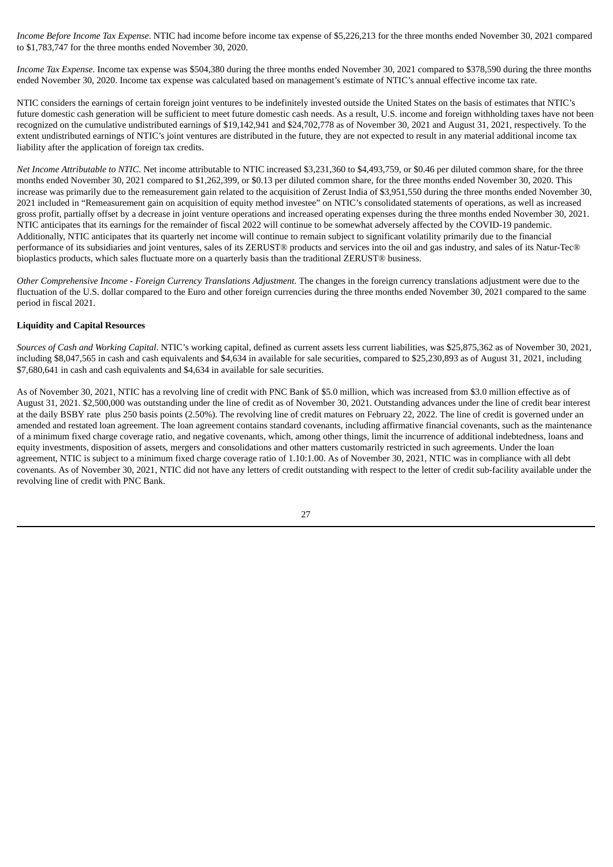*Income Before Income Tax Expense*. NTIC had income before income tax expense of \$5,226,213 for the three months ended November 30, 2021 compared to \$1,783,747 for the three months ended November 30, 2020.

*Income Tax Expense*. Income tax expense was \$504,380 during the three months ended November 30, 2021 compared to \$378,590 during the three months ended November 30, 2020. Income tax expense was calculated based on management's estimate of NTIC's annual effective income tax rate.

NTIC considers the earnings of certain foreign joint ventures to be indefinitely invested outside the United States on the basis of estimates that NTIC's future domestic cash generation will be sufficient to meet future domestic cash needs. As a result, U.S. income and foreign withholding taxes have not been recognized on the cumulative undistributed earnings of \$19,142,941 and \$24,702,778 as of November 30, 2021 and August 31, 2021, respectively. To the extent undistributed earnings of NTIC's joint ventures are distributed in the future, they are not expected to result in any material additional income tax liability after the application of foreign tax credits.

*Net Income Attributable to NTIC*. Net income attributable to NTIC increased \$3,231,360 to \$4,493,759, or \$0.46 per diluted common share, for the three months ended November 30, 2021 compared to \$1,262,399, or \$0.13 per diluted common share, for the three months ended November 30, 2020. This increase was primarily due to the remeasurement gain related to the acquisition of Zerust India of \$3,951,550 during the three months ended November 30, 2021 included in "Remeasurement gain on acquisition of equity method investee" on NTIC's consolidated statements of operations, as well as increased gross profit, partially offset by a decrease in joint venture operations and increased operating expenses during the three months ended November 30, 2021. NTIC anticipates that its earnings for the remainder of fiscal 2022 will continue to be somewhat adversely affected by the COVID-19 pandemic. Additionally, NTIC anticipates that its quarterly net income will continue to remain subject to significant volatility primarily due to the financial performance of its subsidiaries and joint ventures, sales of its ZERUST® products and services into the oil and gas industry, and sales of its Natur-Tec® bioplastics products, which sales fluctuate more on a quarterly basis than the traditional ZERUST® business.

*Other Comprehensive Income - Foreign Currency Translations Adjustment.* The changes in the foreign currency translations adjustment were due to the fluctuation of the U.S. dollar compared to the Euro and other foreign currencies during the three months ended November 30, 2021 compared to the same period in fiscal 2021.

### **Liquidity and Capital Resources**

*Sources of Cash and Working Capital*. NTIC's working capital, defined as current assets less current liabilities, was \$25,875,362 as of November 30, 2021, including \$8,047,565 in cash and cash equivalents and \$4,634 in available for sale securities, compared to \$25,230,893 as of August 31, 2021, including \$7,680,641 in cash and cash equivalents and \$4,634 in available for sale securities.

As of November 30, 2021, NTIC has a revolving line of credit with PNC Bank of \$5.0 million, which was increased from \$3.0 million effective as of August 31, 2021. \$2,500,000 was outstanding under the line of credit as of November 30, 2021. Outstanding advances under the line of credit bear interest at the daily BSBY rate plus 250 basis points (2.50%). The revolving line of credit matures on February 22, 2022. The line of credit is governed under an amended and restated loan agreement. The loan agreement contains standard covenants, including affirmative financial covenants, such as the maintenance of a minimum fixed charge coverage ratio, and negative covenants, which, among other things, limit the incurrence of additional indebtedness, loans and equity investments, disposition of assets, mergers and consolidations and other matters customarily restricted in such agreements. Under the loan agreement, NTIC is subject to a minimum fixed charge coverage ratio of 1.10:1.00. As of November 30, 2021, NTIC was in compliance with all debt covenants. As of November 30, 2021, NTIC did not have any letters of credit outstanding with respect to the letter of credit sub-facility available under the revolving line of credit with PNC Bank.

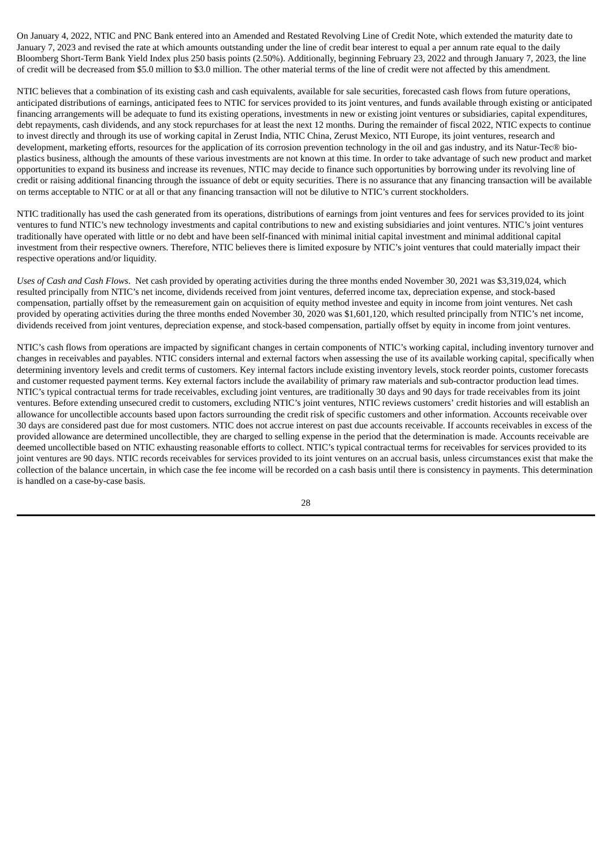On January 4, 2022, NTIC and PNC Bank entered into an Amended and Restated Revolving Line of Credit Note, which extended the maturity date to January 7, 2023 and revised the rate at which amounts outstanding under the line of credit bear interest to equal a per annum rate equal to the daily Bloomberg Short-Term Bank Yield Index plus 250 basis points (2.50%). Additionally, beginning February 23, 2022 and through January 7, 2023, the line of credit will be decreased from \$5.0 million to \$3.0 million. The other material terms of the line of credit were not affected by this amendment.

NTIC believes that a combination of its existing cash and cash equivalents, available for sale securities, forecasted cash flows from future operations, anticipated distributions of earnings, anticipated fees to NTIC for services provided to its joint ventures, and funds available through existing or anticipated financing arrangements will be adequate to fund its existing operations, investments in new or existing joint ventures or subsidiaries, capital expenditures, debt repayments, cash dividends, and any stock repurchases for at least the next 12 months. During the remainder of fiscal 2022, NTIC expects to continue to invest directly and through its use of working capital in Zerust India, NTIC China, Zerust Mexico, NTI Europe, its joint ventures, research and development, marketing efforts, resources for the application of its corrosion prevention technology in the oil and gas industry, and its Natur-Tec® bioplastics business, although the amounts of these various investments are not known at this time. In order to take advantage of such new product and market opportunities to expand its business and increase its revenues, NTIC may decide to finance such opportunities by borrowing under its revolving line of credit or raising additional financing through the issuance of debt or equity securities. There is no assurance that any financing transaction will be available on terms acceptable to NTIC or at all or that any financing transaction will not be dilutive to NTIC's current stockholders.

NTIC traditionally has used the cash generated from its operations, distributions of earnings from joint ventures and fees for services provided to its joint ventures to fund NTIC's new technology investments and capital contributions to new and existing subsidiaries and joint ventures. NTIC's joint ventures traditionally have operated with little or no debt and have been self-financed with minimal initial capital investment and minimal additional capital investment from their respective owners. Therefore, NTIC believes there is limited exposure by NTIC's joint ventures that could materially impact their respective operations and/or liquidity.

*Uses of Cash and Cash Flows*. Net cash provided by operating activities during the three months ended November 30, 2021 was \$3,319,024, which resulted principally from NTIC's net income, dividends received from joint ventures, deferred income tax, depreciation expense, and stock-based compensation, partially offset by the remeasurement gain on acquisition of equity method investee and equity in income from joint ventures. Net cash provided by operating activities during the three months ended November 30, 2020 was \$1,601,120, which resulted principally from NTIC's net income, dividends received from joint ventures, depreciation expense, and stock-based compensation, partially offset by equity in income from joint ventures.

NTIC's cash flows from operations are impacted by significant changes in certain components of NTIC's working capital, including inventory turnover and changes in receivables and payables. NTIC considers internal and external factors when assessing the use of its available working capital, specifically when determining inventory levels and credit terms of customers. Key internal factors include existing inventory levels, stock reorder points, customer forecasts and customer requested payment terms. Key external factors include the availability of primary raw materials and sub-contractor production lead times. NTIC's typical contractual terms for trade receivables, excluding joint ventures, are traditionally 30 days and 90 days for trade receivables from its joint ventures. Before extending unsecured credit to customers, excluding NTIC's joint ventures, NTIC reviews customers' credit histories and will establish an allowance for uncollectible accounts based upon factors surrounding the credit risk of specific customers and other information. Accounts receivable over 30 days are considered past due for most customers. NTIC does not accrue interest on past due accounts receivable. If accounts receivables in excess of the provided allowance are determined uncollectible, they are charged to selling expense in the period that the determination is made. Accounts receivable are deemed uncollectible based on NTIC exhausting reasonable efforts to collect. NTIC's typical contractual terms for receivables for services provided to its joint ventures are 90 days. NTIC records receivables for services provided to its joint ventures on an accrual basis, unless circumstances exist that make the collection of the balance uncertain, in which case the fee income will be recorded on a cash basis until there is consistency in payments. This determination is handled on a case-by-case basis.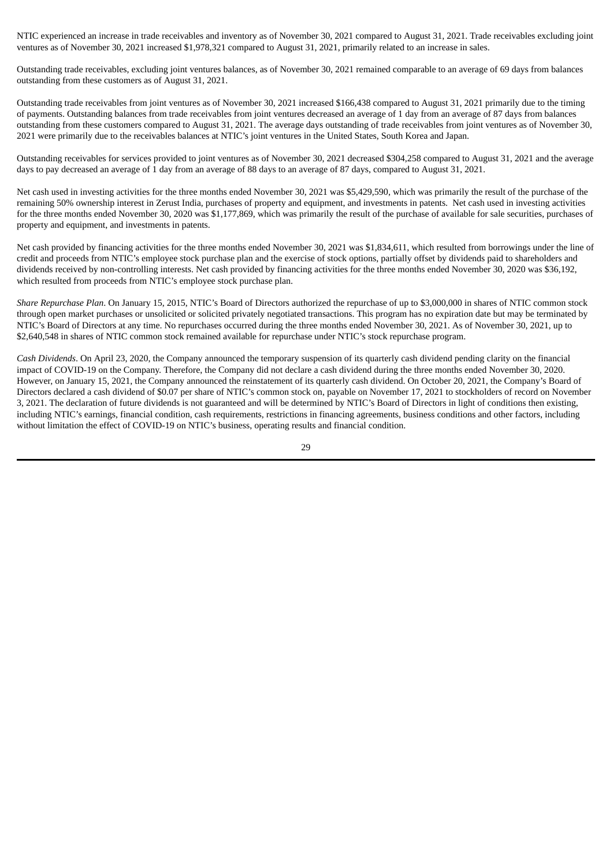NTIC experienced an increase in trade receivables and inventory as of November 30, 2021 compared to August 31, 2021. Trade receivables excluding joint ventures as of November 30, 2021 increased \$1,978,321 compared to August 31, 2021, primarily related to an increase in sales.

Outstanding trade receivables, excluding joint ventures balances, as of November 30, 2021 remained comparable to an average of 69 days from balances outstanding from these customers as of August 31, 2021.

Outstanding trade receivables from joint ventures as of November 30, 2021 increased \$166,438 compared to August 31, 2021 primarily due to the timing of payments. Outstanding balances from trade receivables from joint ventures decreased an average of 1 day from an average of 87 days from balances outstanding from these customers compared to August 31, 2021. The average days outstanding of trade receivables from joint ventures as of November 30, 2021 were primarily due to the receivables balances at NTIC's joint ventures in the United States, South Korea and Japan.

Outstanding receivables for services provided to joint ventures as of November 30, 2021 decreased \$304,258 compared to August 31, 2021 and the average days to pay decreased an average of 1 day from an average of 88 days to an average of 87 days, compared to August 31, 2021.

Net cash used in investing activities for the three months ended November 30, 2021 was \$5,429,590, which was primarily the result of the purchase of the remaining 50% ownership interest in Zerust India, purchases of property and equipment, and investments in patents. Net cash used in investing activities for the three months ended November 30, 2020 was \$1,177,869, which was primarily the result of the purchase of available for sale securities, purchases of property and equipment, and investments in patents.

Net cash provided by financing activities for the three months ended November 30, 2021 was \$1,834,611, which resulted from borrowings under the line of credit and proceeds from NTIC's employee stock purchase plan and the exercise of stock options, partially offset by dividends paid to shareholders and dividends received by non-controlling interests. Net cash provided by financing activities for the three months ended November 30, 2020 was \$36,192, which resulted from proceeds from NTIC's employee stock purchase plan.

*Share Repurchase Plan*. On January 15, 2015, NTIC's Board of Directors authorized the repurchase of up to \$3,000,000 in shares of NTIC common stock through open market purchases or unsolicited or solicited privately negotiated transactions. This program has no expiration date but may be terminated by NTIC's Board of Directors at any time. No repurchases occurred during the three months ended November 30, 2021. As of November 30, 2021, up to \$2,640,548 in shares of NTIC common stock remained available for repurchase under NTIC's stock repurchase program.

*Cash Dividends*. On April 23, 2020, the Company announced the temporary suspension of its quarterly cash dividend pending clarity on the financial impact of COVID-19 on the Company. Therefore, the Company did not declare a cash dividend during the three months ended November 30, 2020. However, on January 15, 2021, the Company announced the reinstatement of its quarterly cash dividend. On October 20, 2021, the Company's Board of Directors declared a cash dividend of \$0.07 per share of NTIC's common stock on, payable on November 17, 2021 to stockholders of record on November 3, 2021. The declaration of future dividends is not guaranteed and will be determined by NTIC's Board of Directors in light of conditions then existing, including NTIC's earnings, financial condition, cash requirements, restrictions in financing agreements, business conditions and other factors, including without limitation the effect of COVID-19 on NTIC's business, operating results and financial condition.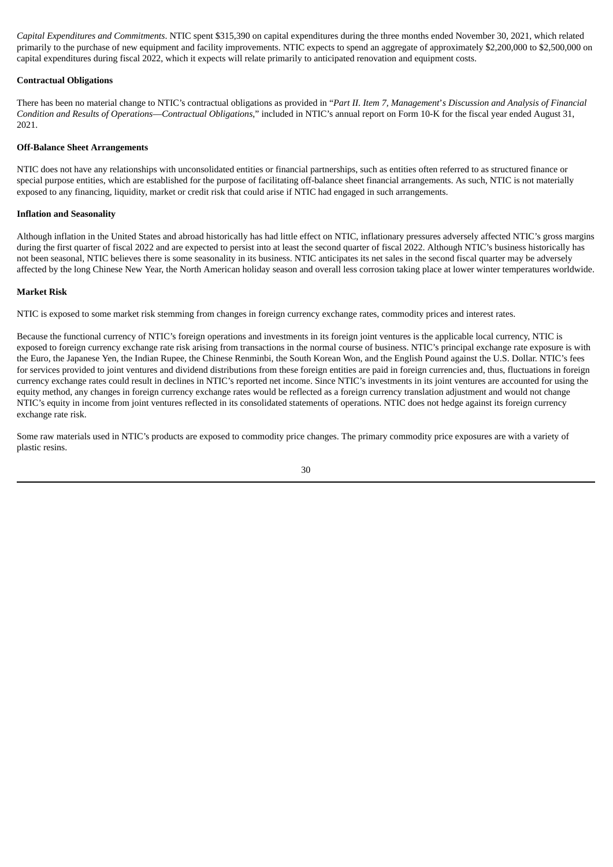*Capital Expenditures and Commitments*. NTIC spent \$315,390 on capital expenditures during the three months ended November 30, 2021, which related primarily to the purchase of new equipment and facility improvements. NTIC expects to spend an aggregate of approximately \$2,200,000 to \$2,500,000 on capital expenditures during fiscal 2022, which it expects will relate primarily to anticipated renovation and equipment costs.

## **Contractual Obligations**

There has been no material change to NTIC's contractual obligations as provided in "Part II. Item 7, Management's Discussion and Analysis of Financial *Condition and Results of Operations*—*Contractual Obligations*," included in NTIC's annual report on Form 10-K for the fiscal year ended August 31, 2021.

## **Off-Balance Sheet Arrangements**

NTIC does not have any relationships with unconsolidated entities or financial partnerships, such as entities often referred to as structured finance or special purpose entities, which are established for the purpose of facilitating off-balance sheet financial arrangements. As such, NTIC is not materially exposed to any financing, liquidity, market or credit risk that could arise if NTIC had engaged in such arrangements.

## **Inflation and Seasonality**

Although inflation in the United States and abroad historically has had little effect on NTIC, inflationary pressures adversely affected NTIC's gross margins during the first quarter of fiscal 2022 and are expected to persist into at least the second quarter of fiscal 2022. Although NTIC's business historically has not been seasonal, NTIC believes there is some seasonality in its business. NTIC anticipates its net sales in the second fiscal quarter may be adversely affected by the long Chinese New Year, the North American holiday season and overall less corrosion taking place at lower winter temperatures worldwide.

## **Market Risk**

NTIC is exposed to some market risk stemming from changes in foreign currency exchange rates, commodity prices and interest rates.

Because the functional currency of NTIC's foreign operations and investments in its foreign joint ventures is the applicable local currency, NTIC is exposed to foreign currency exchange rate risk arising from transactions in the normal course of business. NTIC's principal exchange rate exposure is with the Euro, the Japanese Yen, the Indian Rupee, the Chinese Renminbi, the South Korean Won, and the English Pound against the U.S. Dollar. NTIC's fees for services provided to joint ventures and dividend distributions from these foreign entities are paid in foreign currencies and, thus, fluctuations in foreign currency exchange rates could result in declines in NTIC's reported net income. Since NTIC's investments in its joint ventures are accounted for using the equity method, any changes in foreign currency exchange rates would be reflected as a foreign currency translation adjustment and would not change NTIC's equity in income from joint ventures reflected in its consolidated statements of operations. NTIC does not hedge against its foreign currency exchange rate risk.

Some raw materials used in NTIC's products are exposed to commodity price changes. The primary commodity price exposures are with a variety of plastic resins.

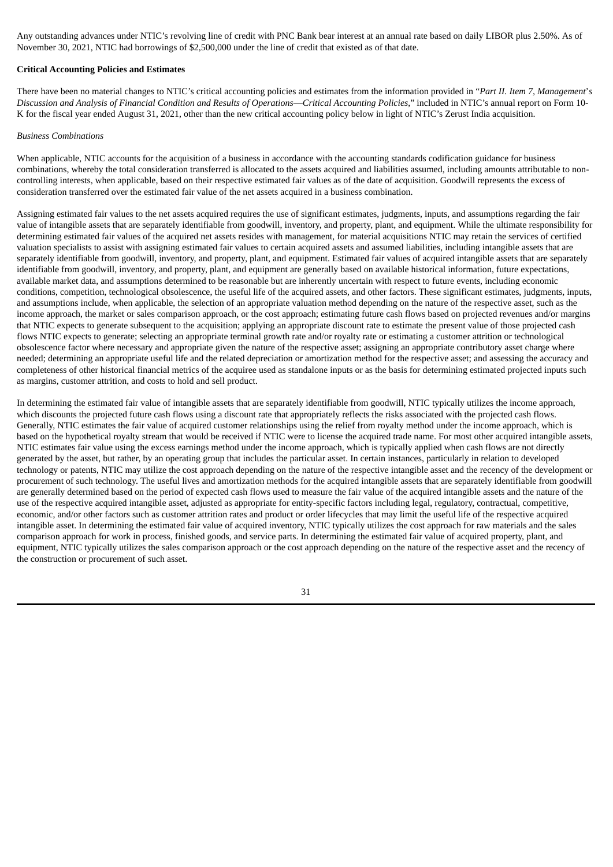Any outstanding advances under NTIC's revolving line of credit with PNC Bank bear interest at an annual rate based on daily LIBOR plus 2.50%. As of November 30, 2021, NTIC had borrowings of \$2,500,000 under the line of credit that existed as of that date.

#### **Critical Accounting Policies and Estimates**

There have been no material changes to NTIC's critical accounting policies and estimates from the information provided in "*Part II. Item 7, Management*'*s* Discussion and Analysis of Financial Condition and Results of Operations—Critical Accounting Policies," included in NTIC's annual report on Form 10-K for the fiscal year ended August 31, 2021, other than the new critical accounting policy below in light of NTIC's Zerust India acquisition.

#### *Business Combinations*

When applicable, NTIC accounts for the acquisition of a business in accordance with the accounting standards codification guidance for business combinations, whereby the total consideration transferred is allocated to the assets acquired and liabilities assumed, including amounts attributable to noncontrolling interests, when applicable, based on their respective estimated fair values as of the date of acquisition. Goodwill represents the excess of consideration transferred over the estimated fair value of the net assets acquired in a business combination.

Assigning estimated fair values to the net assets acquired requires the use of significant estimates, judgments, inputs, and assumptions regarding the fair value of intangible assets that are separately identifiable from goodwill, inventory, and property, plant, and equipment. While the ultimate responsibility for determining estimated fair values of the acquired net assets resides with management, for material acquisitions NTIC may retain the services of certified valuation specialists to assist with assigning estimated fair values to certain acquired assets and assumed liabilities, including intangible assets that are separately identifiable from goodwill, inventory, and property, plant, and equipment. Estimated fair values of acquired intangible assets that are separately identifiable from goodwill, inventory, and property, plant, and equipment are generally based on available historical information, future expectations, available market data, and assumptions determined to be reasonable but are inherently uncertain with respect to future events, including economic conditions, competition, technological obsolescence, the useful life of the acquired assets, and other factors. These significant estimates, judgments, inputs, and assumptions include, when applicable, the selection of an appropriate valuation method depending on the nature of the respective asset, such as the income approach, the market or sales comparison approach, or the cost approach; estimating future cash flows based on projected revenues and/or margins that NTIC expects to generate subsequent to the acquisition; applying an appropriate discount rate to estimate the present value of those projected cash flows NTIC expects to generate; selecting an appropriate terminal growth rate and/or royalty rate or estimating a customer attrition or technological obsolescence factor where necessary and appropriate given the nature of the respective asset; assigning an appropriate contributory asset charge where needed; determining an appropriate useful life and the related depreciation or amortization method for the respective asset; and assessing the accuracy and completeness of other historical financial metrics of the acquiree used as standalone inputs or as the basis for determining estimated projected inputs such as margins, customer attrition, and costs to hold and sell product.

In determining the estimated fair value of intangible assets that are separately identifiable from goodwill, NTIC typically utilizes the income approach, which discounts the projected future cash flows using a discount rate that appropriately reflects the risks associated with the projected cash flows. Generally, NTIC estimates the fair value of acquired customer relationships using the relief from royalty method under the income approach, which is based on the hypothetical royalty stream that would be received if NTIC were to license the acquired trade name. For most other acquired intangible assets, NTIC estimates fair value using the excess earnings method under the income approach, which is typically applied when cash flows are not directly generated by the asset, but rather, by an operating group that includes the particular asset. In certain instances, particularly in relation to developed technology or patents, NTIC may utilize the cost approach depending on the nature of the respective intangible asset and the recency of the development or procurement of such technology. The useful lives and amortization methods for the acquired intangible assets that are separately identifiable from goodwill are generally determined based on the period of expected cash flows used to measure the fair value of the acquired intangible assets and the nature of the use of the respective acquired intangible asset, adjusted as appropriate for entity-specific factors including legal, regulatory, contractual, competitive, economic, and/or other factors such as customer attrition rates and product or order lifecycles that may limit the useful life of the respective acquired intangible asset. In determining the estimated fair value of acquired inventory, NTIC typically utilizes the cost approach for raw materials and the sales comparison approach for work in process, finished goods, and service parts. In determining the estimated fair value of acquired property, plant, and equipment, NTIC typically utilizes the sales comparison approach or the cost approach depending on the nature of the respective asset and the recency of the construction or procurement of such asset.

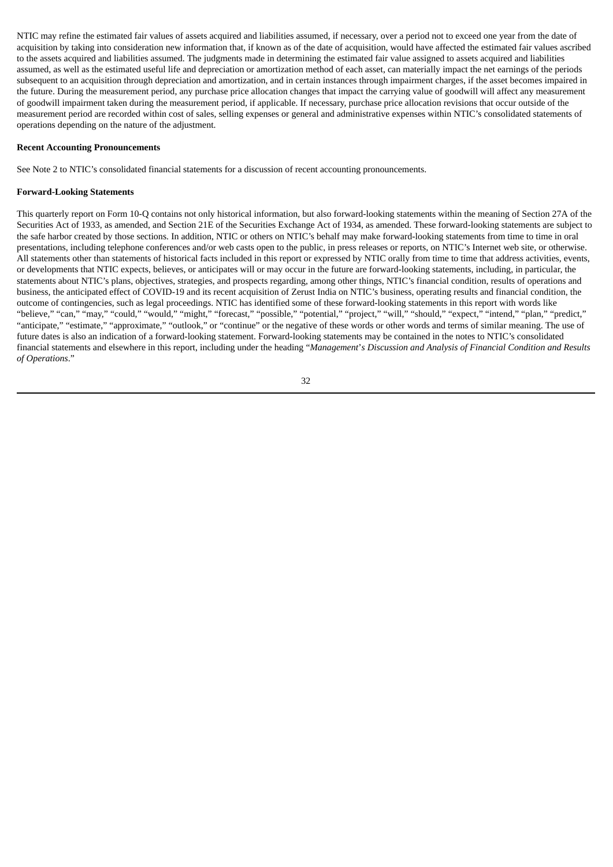NTIC may refine the estimated fair values of assets acquired and liabilities assumed, if necessary, over a period not to exceed one year from the date of acquisition by taking into consideration new information that, if known as of the date of acquisition, would have affected the estimated fair values ascribed to the assets acquired and liabilities assumed. The judgments made in determining the estimated fair value assigned to assets acquired and liabilities assumed, as well as the estimated useful life and depreciation or amortization method of each asset, can materially impact the net earnings of the periods subsequent to an acquisition through depreciation and amortization, and in certain instances through impairment charges, if the asset becomes impaired in the future. During the measurement period, any purchase price allocation changes that impact the carrying value of goodwill will affect any measurement of goodwill impairment taken during the measurement period, if applicable. If necessary, purchase price allocation revisions that occur outside of the measurement period are recorded within cost of sales, selling expenses or general and administrative expenses within NTIC's consolidated statements of operations depending on the nature of the adjustment.

#### **Recent Accounting Pronouncements**

See Note 2 to NTIC's consolidated financial statements for a discussion of recent accounting pronouncements.

#### **Forward-Looking Statements**

This quarterly report on Form 10-Q contains not only historical information, but also forward-looking statements within the meaning of Section 27A of the Securities Act of 1933, as amended, and Section 21E of the Securities Exchange Act of 1934, as amended. These forward-looking statements are subject to the safe harbor created by those sections. In addition, NTIC or others on NTIC's behalf may make forward-looking statements from time to time in oral presentations, including telephone conferences and/or web casts open to the public, in press releases or reports, on NTIC's Internet web site, or otherwise. All statements other than statements of historical facts included in this report or expressed by NTIC orally from time to time that address activities, events, or developments that NTIC expects, believes, or anticipates will or may occur in the future are forward-looking statements, including, in particular, the statements about NTIC's plans, objectives, strategies, and prospects regarding, among other things, NTIC's financial condition, results of operations and business, the anticipated effect of COVID-19 and its recent acquisition of Zerust India on NTIC's business, operating results and financial condition, the outcome of contingencies, such as legal proceedings. NTIC has identified some of these forward-looking statements in this report with words like "believe," "can," "may," "could," "would," "might," "forecast," "possible," "potential," "project," "will," "should," "expect," "intend," "plan," "predict," "anticipate," "estimate," "approximate," "outlook," or "continue" or the negative of these words or other words and terms of similar meaning. The use of future dates is also an indication of a forward-looking statement. Forward-looking statements may be contained in the notes to NTIC's consolidated financial statements and elsewhere in this report, including under the heading "*Management*'*s Discussion and Analysis of Financial Condition and Results of Operations*."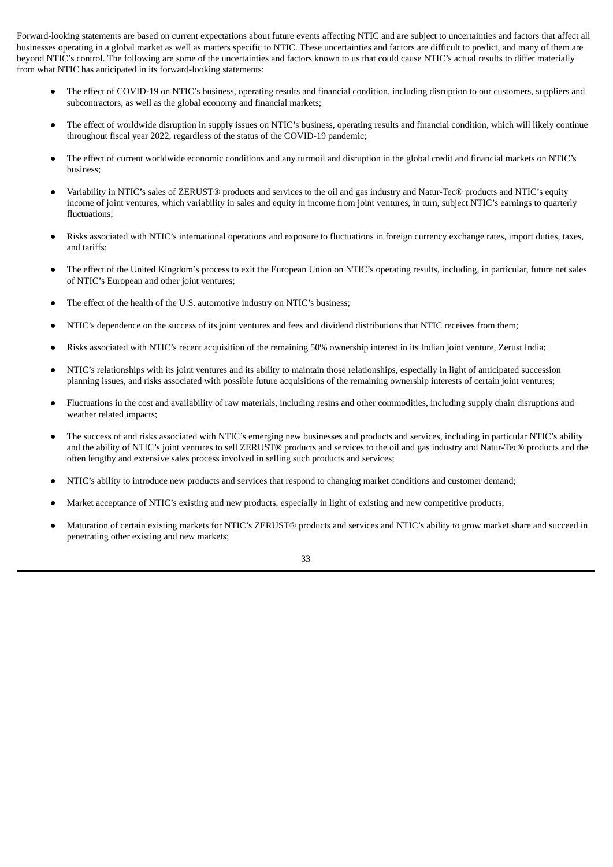Forward-looking statements are based on current expectations about future events affecting NTIC and are subject to uncertainties and factors that affect all businesses operating in a global market as well as matters specific to NTIC. These uncertainties and factors are difficult to predict, and many of them are beyond NTIC's control. The following are some of the uncertainties and factors known to us that could cause NTIC's actual results to differ materially from what NTIC has anticipated in its forward-looking statements:

- The effect of COVID-19 on NTIC's business, operating results and financial condition, including disruption to our customers, suppliers and subcontractors, as well as the global economy and financial markets;
- The effect of worldwide disruption in supply issues on NTIC's business, operating results and financial condition, which will likely continue throughout fiscal year 2022, regardless of the status of the COVID-19 pandemic;
- The effect of current worldwide economic conditions and any turmoil and disruption in the global credit and financial markets on NTIC's business;
- Variability in NTIC's sales of ZERUST® products and services to the oil and gas industry and Natur-Tec® products and NTIC's equity income of joint ventures, which variability in sales and equity in income from joint ventures, in turn, subject NTIC's earnings to quarterly fluctuations;
- Risks associated with NTIC's international operations and exposure to fluctuations in foreign currency exchange rates, import duties, taxes, and tariffs;
- The effect of the United Kingdom's process to exit the European Union on NTIC's operating results, including, in particular, future net sales of NTIC's European and other joint ventures;
- The effect of the health of the U.S. automotive industry on NTIC's business;
- NTIC's dependence on the success of its joint ventures and fees and dividend distributions that NTIC receives from them;
- Risks associated with NTIC's recent acquisition of the remaining 50% ownership interest in its Indian joint venture, Zerust India;
- NTIC's relationships with its joint ventures and its ability to maintain those relationships, especially in light of anticipated succession planning issues, and risks associated with possible future acquisitions of the remaining ownership interests of certain joint ventures;
- Fluctuations in the cost and availability of raw materials, including resins and other commodities, including supply chain disruptions and weather related impacts;
- The success of and risks associated with NTIC's emerging new businesses and products and services, including in particular NTIC's ability and the ability of NTIC's joint ventures to sell ZERUST® products and services to the oil and gas industry and Natur-Tec® products and the often lengthy and extensive sales process involved in selling such products and services;
- NTIC's ability to introduce new products and services that respond to changing market conditions and customer demand;
- Market acceptance of NTIC's existing and new products, especially in light of existing and new competitive products;
- Maturation of certain existing markets for NTIC's ZERUST® products and services and NTIC's ability to grow market share and succeed in penetrating other existing and new markets;
	- 33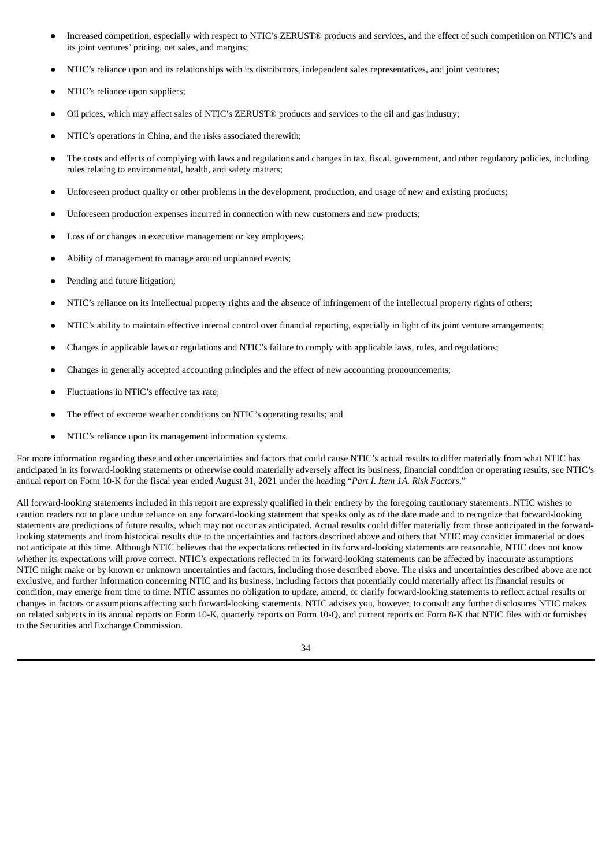- Increased competition, especially with respect to NTIC's ZERUST® products and services, and the effect of such competition on NTIC's and its joint ventures' pricing, net sales, and margins;
- NTIC's reliance upon and its relationships with its distributors, independent sales representatives, and joint ventures;
- NTIC's reliance upon suppliers;
- Oil prices, which may affect sales of NTIC's ZERUST® products and services to the oil and gas industry;
- NTIC's operations in China, and the risks associated therewith:
- The costs and effects of complying with laws and regulations and changes in tax, fiscal, government, and other regulatory policies, including rules relating to environmental, health, and safety matters;
- Unforeseen product quality or other problems in the development, production, and usage of new and existing products;
- Unforeseen production expenses incurred in connection with new customers and new products;
- Loss of or changes in executive management or key employees;
- Ability of management to manage around unplanned events;
- Pending and future litigation;
- NTIC's reliance on its intellectual property rights and the absence of infringement of the intellectual property rights of others;
- NTIC's ability to maintain effective internal control over financial reporting, especially in light of its joint venture arrangements;
- Changes in applicable laws or regulations and NTIC's failure to comply with applicable laws, rules, and regulations;
- Changes in generally accepted accounting principles and the effect of new accounting pronouncements;
- Fluctuations in NTIC's effective tax rate;
- The effect of extreme weather conditions on NTIC's operating results; and
- NTIC's reliance upon its management information systems.

For more information regarding these and other uncertainties and factors that could cause NTIC's actual results to differ materially from what NTIC has anticipated in its forward-looking statements or otherwise could materially adversely affect its business, financial condition or operating results, see NTIC's annual report on Form 10-K for the fiscal year ended August 31, 2021 under the heading "*Part I. Item 1A. Risk Factors*."

All forward-looking statements included in this report are expressly qualified in their entirety by the foregoing cautionary statements. NTIC wishes to caution readers not to place undue reliance on any forward-looking statement that speaks only as of the date made and to recognize that forward-looking statements are predictions of future results, which may not occur as anticipated. Actual results could differ materially from those anticipated in the forwardlooking statements and from historical results due to the uncertainties and factors described above and others that NTIC may consider immaterial or does not anticipate at this time. Although NTIC believes that the expectations reflected in its forward-looking statements are reasonable, NTIC does not know whether its expectations will prove correct. NTIC's expectations reflected in its forward-looking statements can be affected by inaccurate assumptions NTIC might make or by known or unknown uncertainties and factors, including those described above. The risks and uncertainties described above are not exclusive, and further information concerning NTIC and its business, including factors that potentially could materially affect its financial results or condition, may emerge from time to time. NTIC assumes no obligation to update, amend, or clarify forward-looking statements to reflect actual results or changes in factors or assumptions affecting such forward-looking statements. NTIC advises you, however, to consult any further disclosures NTIC makes on related subjects in its annual reports on Form 10-K, quarterly reports on Form 10-Q, and current reports on Form 8-K that NTIC files with or furnishes to the Securities and Exchange Commission.

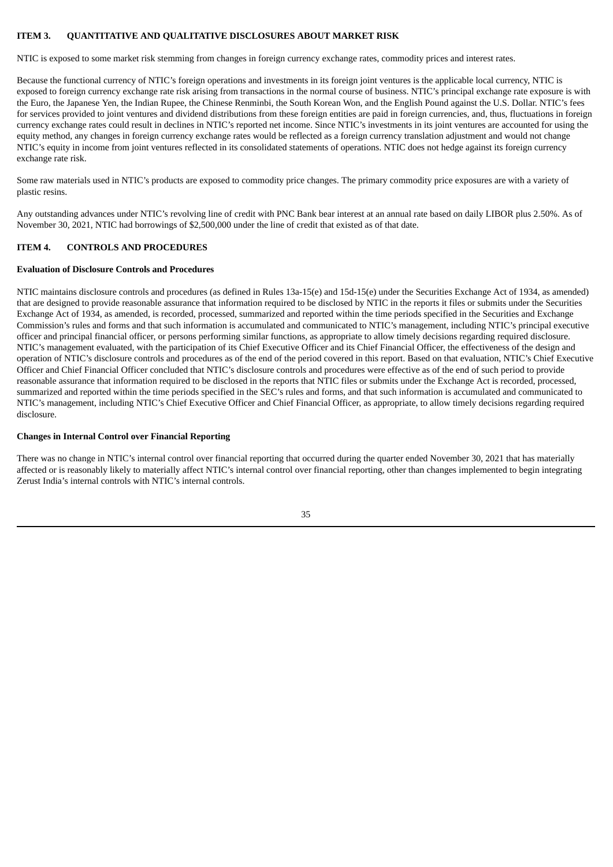## <span id="page-37-0"></span>**ITEM 3. QUANTITATIVE AND QUALITATIVE DISCLOSURES ABOUT MARKET RISK**

NTIC is exposed to some market risk stemming from changes in foreign currency exchange rates, commodity prices and interest rates.

Because the functional currency of NTIC's foreign operations and investments in its foreign joint ventures is the applicable local currency, NTIC is exposed to foreign currency exchange rate risk arising from transactions in the normal course of business. NTIC's principal exchange rate exposure is with the Euro, the Japanese Yen, the Indian Rupee, the Chinese Renminbi, the South Korean Won, and the English Pound against the U.S. Dollar. NTIC's fees for services provided to joint ventures and dividend distributions from these foreign entities are paid in foreign currencies, and, thus, fluctuations in foreign currency exchange rates could result in declines in NTIC's reported net income. Since NTIC's investments in its joint ventures are accounted for using the equity method, any changes in foreign currency exchange rates would be reflected as a foreign currency translation adjustment and would not change NTIC's equity in income from joint ventures reflected in its consolidated statements of operations. NTIC does not hedge against its foreign currency exchange rate risk.

Some raw materials used in NTIC's products are exposed to commodity price changes. The primary commodity price exposures are with a variety of plastic resins.

Any outstanding advances under NTIC's revolving line of credit with PNC Bank bear interest at an annual rate based on daily LIBOR plus 2.50%. As of November 30, 2021, NTIC had borrowings of \$2,500,000 under the line of credit that existed as of that date.

### <span id="page-37-1"></span>**ITEM 4. CONTROLS AND PROCEDURES**

#### **Evaluation of Disclosure Controls and Procedures**

NTIC maintains disclosure controls and procedures (as defined in Rules 13a-15(e) and 15d-15(e) under the Securities Exchange Act of 1934, as amended) that are designed to provide reasonable assurance that information required to be disclosed by NTIC in the reports it files or submits under the Securities Exchange Act of 1934, as amended, is recorded, processed, summarized and reported within the time periods specified in the Securities and Exchange Commission's rules and forms and that such information is accumulated and communicated to NTIC's management, including NTIC's principal executive officer and principal financial officer, or persons performing similar functions, as appropriate to allow timely decisions regarding required disclosure. NTIC's management evaluated, with the participation of its Chief Executive Officer and its Chief Financial Officer, the effectiveness of the design and operation of NTIC's disclosure controls and procedures as of the end of the period covered in this report. Based on that evaluation, NTIC's Chief Executive Officer and Chief Financial Officer concluded that NTIC's disclosure controls and procedures were effective as of the end of such period to provide reasonable assurance that information required to be disclosed in the reports that NTIC files or submits under the Exchange Act is recorded, processed, summarized and reported within the time periods specified in the SEC's rules and forms, and that such information is accumulated and communicated to NTIC's management, including NTIC's Chief Executive Officer and Chief Financial Officer, as appropriate, to allow timely decisions regarding required disclosure.

#### **Changes in Internal Control over Financial Reporting**

There was no change in NTIC's internal control over financial reporting that occurred during the quarter ended November 30, 2021 that has materially affected or is reasonably likely to materially affect NTIC's internal control over financial reporting, other than changes implemented to begin integrating Zerust India's internal controls with NTIC's internal controls.

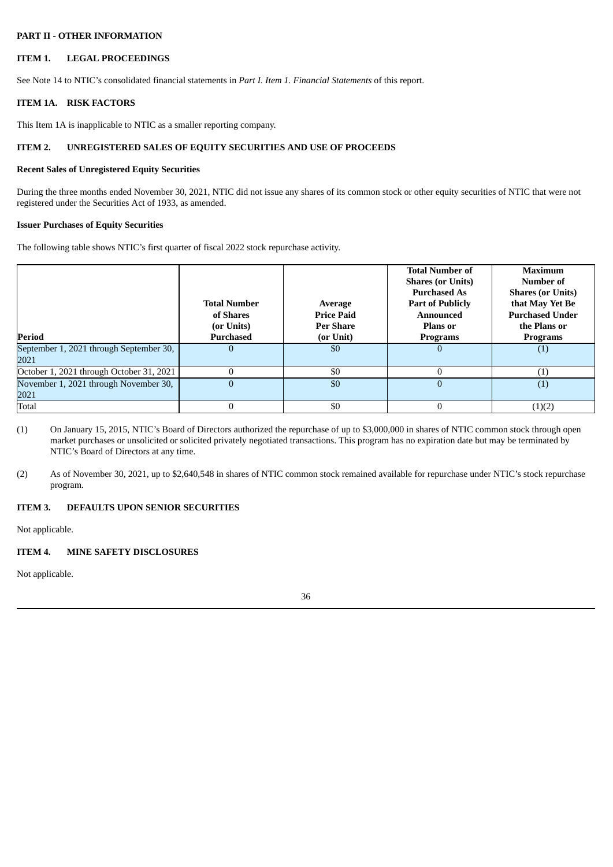### <span id="page-38-0"></span>**PART II - OTHER INFORMATION**

## <span id="page-38-1"></span>**ITEM 1. LEGAL PROCEEDINGS**

See Note 14 to NTIC's consolidated financial statements in *Part I. Item 1. Financial Statements* of this report.

## <span id="page-38-2"></span>**ITEM 1A. RISK FACTORS**

This Item 1A is inapplicable to NTIC as a smaller reporting company.

## <span id="page-38-3"></span>**ITEM 2. UNREGISTERED SALES OF EQUITY SECURITIES AND USE OF PROCEEDS**

#### **Recent Sales of Unregistered Equity Securities**

During the three months ended November 30, 2021, NTIC did not issue any shares of its common stock or other equity securities of NTIC that were not registered under the Securities Act of 1933, as amended.

#### **Issuer Purchases of Equity Securities**

The following table shows NTIC's first quarter of fiscal 2022 stock repurchase activity.

|                                          |                     |                   | <b>Total Number of</b>   | <b>Maximum</b>           |
|------------------------------------------|---------------------|-------------------|--------------------------|--------------------------|
|                                          |                     |                   | <b>Shares (or Units)</b> | Number of                |
|                                          |                     |                   | <b>Purchased As</b>      | <b>Shares (or Units)</b> |
|                                          | <b>Total Number</b> | Average           | <b>Part of Publicly</b>  | that May Yet Be          |
|                                          | of Shares           | <b>Price Paid</b> | Announced                | <b>Purchased Under</b>   |
|                                          | (or Units)          | <b>Per Share</b>  | <b>Plans or</b>          | the Plans or             |
| <b>Period</b>                            | Purchased           | (or Unit)         | <b>Programs</b>          | Programs                 |
| September 1, 2021 through September 30,  |                     | \$0               | $\Omega$                 | (1)                      |
| 2021                                     |                     |                   |                          |                          |
| October 1, 2021 through October 31, 2021 |                     | \$0               |                          | $\left[1\right]$         |
| November 1, 2021 through November 30,    |                     | \$0               | $\Omega$                 | (1)                      |
| 2021                                     |                     |                   |                          |                          |
| Total                                    |                     | \$0               |                          | (1)(2)                   |

(1) On January 15, 2015, NTIC's Board of Directors authorized the repurchase of up to \$3,000,000 in shares of NTIC common stock through open market purchases or unsolicited or solicited privately negotiated transactions. This program has no expiration date but may be terminated by NTIC's Board of Directors at any time.

(2) As of November 30, 2021, up to \$2,640,548 in shares of NTIC common stock remained available for repurchase under NTIC's stock repurchase program.

## <span id="page-38-4"></span>**ITEM 3. DEFAULTS UPON SENIOR SECURITIES**

Not applicable.

#### <span id="page-38-5"></span>**ITEM 4. MINE SAFETY DISCLOSURES**

Not applicable.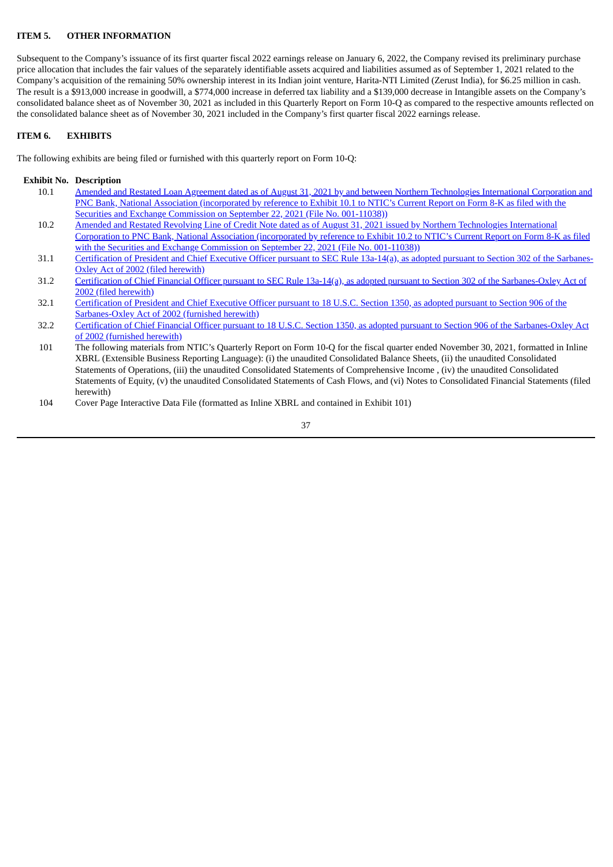## <span id="page-39-0"></span>**ITEM 5. OTHER INFORMATION**

Subsequent to the Company's issuance of its first quarter fiscal 2022 earnings release on January 6, 2022, the Company revised its preliminary purchase price allocation that includes the fair values of the separately identifiable assets acquired and liabilities assumed as of September 1, 2021 related to the Company's acquisition of the remaining 50% ownership interest in its Indian joint venture, Harita-NTI Limited (Zerust India), for \$6.25 million in cash. The result is a \$913,000 increase in goodwill, a \$774,000 increase in deferred tax liability and a \$139,000 decrease in Intangible assets on the Company's consolidated balance sheet as of November 30, 2021 as included in this Quarterly Report on Form 10-Q as compared to the respective amounts reflected on the consolidated balance sheet as of November 30, 2021 included in the Company's first quarter fiscal 2022 earnings release.

## <span id="page-39-1"></span>**ITEM 6. EXHIBITS**

The following exhibits are being filed or furnished with this quarterly report on Form 10-Q:

#### **Exhibit No. Description**

- 10.1 Amended and Restated Loan Agreement dated as of August 31, 2021 by and between Northern Technologies International Corporation and PNC Bank, National Association [\(incorporated](http://www.sec.gov/Archives/edgar/data/875582/000117184321006611/exh_101.htm) by reference to Exhibit 10.1 to NTIC's Current Report on Form 8-K as filed with the Securities and Exchange Commission on September 22, 2021 (File No. 001-11038))
- 10.2 Amended and Restated Revolving Line of Credit Note dated as of August 31, 2021 issued by Northern Technologies International Corporation to PNC Bank, National Association [\(incorporated](http://www.sec.gov/Archives/edgar/data/875582/000117184321006611/exh_102.htm) by reference to Exhibit 10.2 to NTIC's Current Report on Form 8-K as filed with the Securities and Exchange Commission on September 22, 2021 (File No. 001-11038))
- 31.1 [Certification](#page-41-0) of President and Chief Executive Officer pursuant to SEC Rule 13a-14(a), as adopted pursuant to Section 302 of the Sarbanes-Oxley Act of 2002 (filed herewith)
- 31.2 Certification of Chief Financial Officer pursuant to SEC Rule 13a-14(a), as adopted pursuant to Section 302 of the [Sarbanes-Oxley](#page-42-0) Act of 2002 (filed herewith)
- 32.1 Certification of President and Chief Executive Officer pursuant to 18 U.S.C. Section 1350, as adopted pursuant to Section 906 of the [Sarbanes-Oxley](#page-43-0) Act of 2002 (furnished herewith)
- 32.2 Certification of Chief Financial Officer pursuant to 18 U.S.C. Section 1350, as adopted pursuant to Section 906 of the [Sarbanes-Oxley](#page-44-0) Act of 2002 (furnished herewith)
- 101 The following materials from NTIC's Quarterly Report on Form 10-Q for the fiscal quarter ended November 30, 2021, formatted in Inline XBRL (Extensible Business Reporting Language): (i) the unaudited Consolidated Balance Sheets, (ii) the unaudited Consolidated Statements of Operations, (iii) the unaudited Consolidated Statements of Comprehensive Income , (iv) the unaudited Consolidated Statements of Equity, (v) the unaudited Consolidated Statements of Cash Flows, and (vi) Notes to Consolidated Financial Statements (filed herewith)
- 104 Cover Page Interactive Data File (formatted as Inline XBRL and contained in Exhibit 101)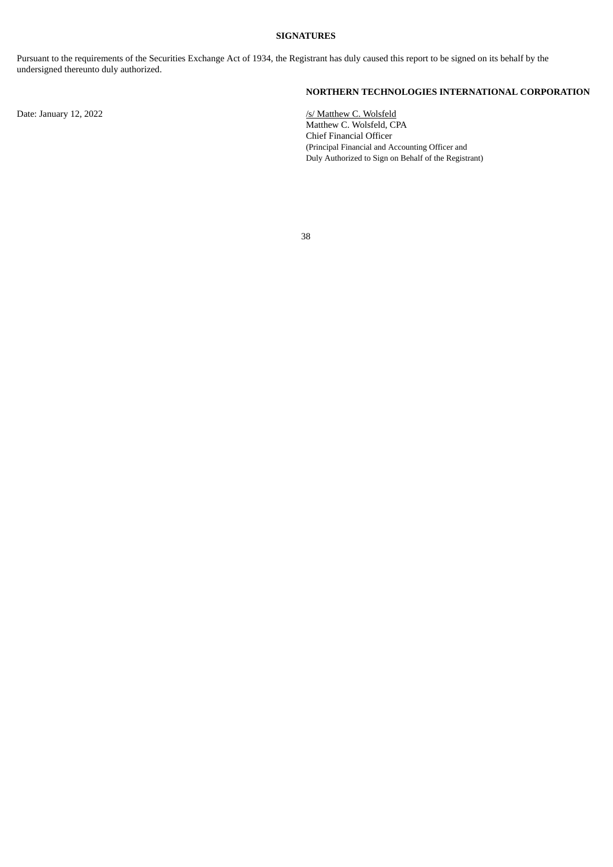## **SIGNATURES**

<span id="page-40-0"></span>Pursuant to the requirements of the Securities Exchange Act of 1934, the Registrant has duly caused this report to be signed on its behalf by the undersigned thereunto duly authorized.

## **NORTHERN TECHNOLOGIES INTERNATIONAL CORPORATION**

Date: January 12, 2022 /s/ Matthew C. Wolsfeld Matthew C. Wolsfeld, CPA Chief Financial Officer (Principal Financial and Accounting Officer and Duly Authorized to Sign on Behalf of the Registrant)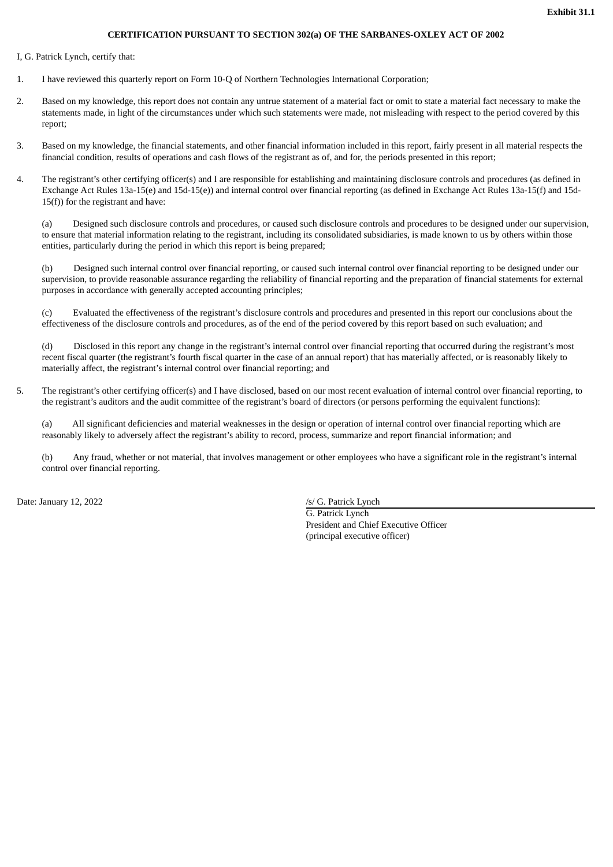## **CERTIFICATION PURSUANT TO SECTION 302(a) OF THE SARBANES-OXLEY ACT OF 2002**

<span id="page-41-0"></span>I, G. Patrick Lynch, certify that:

- 1. I have reviewed this quarterly report on Form 10-Q of Northern Technologies International Corporation;
- 2. Based on my knowledge, this report does not contain any untrue statement of a material fact or omit to state a material fact necessary to make the statements made, in light of the circumstances under which such statements were made, not misleading with respect to the period covered by this report;
- 3. Based on my knowledge, the financial statements, and other financial information included in this report, fairly present in all material respects the financial condition, results of operations and cash flows of the registrant as of, and for, the periods presented in this report;
- 4. The registrant's other certifying officer(s) and I are responsible for establishing and maintaining disclosure controls and procedures (as defined in Exchange Act Rules 13a-15(e) and 15d-15(e)) and internal control over financial reporting (as defined in Exchange Act Rules 13a-15(f) and 15d-15(f)) for the registrant and have:

(a) Designed such disclosure controls and procedures, or caused such disclosure controls and procedures to be designed under our supervision, to ensure that material information relating to the registrant, including its consolidated subsidiaries, is made known to us by others within those entities, particularly during the period in which this report is being prepared;

(b) Designed such internal control over financial reporting, or caused such internal control over financial reporting to be designed under our supervision, to provide reasonable assurance regarding the reliability of financial reporting and the preparation of financial statements for external purposes in accordance with generally accepted accounting principles;

(c) Evaluated the effectiveness of the registrant's disclosure controls and procedures and presented in this report our conclusions about the effectiveness of the disclosure controls and procedures, as of the end of the period covered by this report based on such evaluation; and

(d) Disclosed in this report any change in the registrant's internal control over financial reporting that occurred during the registrant's most recent fiscal quarter (the registrant's fourth fiscal quarter in the case of an annual report) that has materially affected, or is reasonably likely to materially affect, the registrant's internal control over financial reporting; and

5. The registrant's other certifying officer(s) and I have disclosed, based on our most recent evaluation of internal control over financial reporting, to the registrant's auditors and the audit committee of the registrant's board of directors (or persons performing the equivalent functions):

(a) All significant deficiencies and material weaknesses in the design or operation of internal control over financial reporting which are reasonably likely to adversely affect the registrant's ability to record, process, summarize and report financial information; and

(b) Any fraud, whether or not material, that involves management or other employees who have a significant role in the registrant's internal control over financial reporting.

Date: January 12, 2022 /s/ G. Patrick Lynch

G. Patrick Lynch President and Chief Executive Officer (principal executive officer)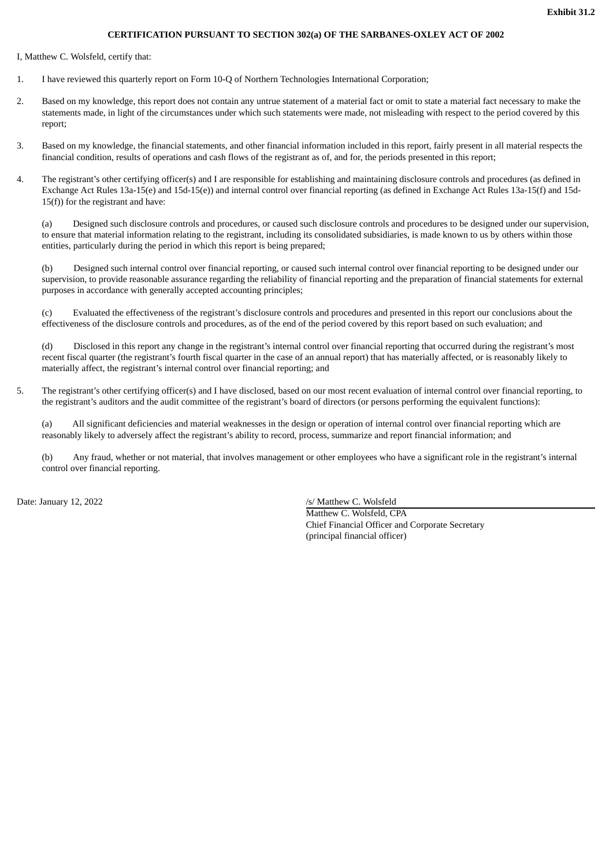## **CERTIFICATION PURSUANT TO SECTION 302(a) OF THE SARBANES-OXLEY ACT OF 2002**

<span id="page-42-0"></span>I, Matthew C. Wolsfeld, certify that:

- 1. I have reviewed this quarterly report on Form 10-Q of Northern Technologies International Corporation;
- 2. Based on my knowledge, this report does not contain any untrue statement of a material fact or omit to state a material fact necessary to make the statements made, in light of the circumstances under which such statements were made, not misleading with respect to the period covered by this report;
- 3. Based on my knowledge, the financial statements, and other financial information included in this report, fairly present in all material respects the financial condition, results of operations and cash flows of the registrant as of, and for, the periods presented in this report;
- 4. The registrant's other certifying officer(s) and I are responsible for establishing and maintaining disclosure controls and procedures (as defined in Exchange Act Rules 13a-15(e) and 15d-15(e)) and internal control over financial reporting (as defined in Exchange Act Rules 13a-15(f) and 15d-15(f)) for the registrant and have:

(a) Designed such disclosure controls and procedures, or caused such disclosure controls and procedures to be designed under our supervision, to ensure that material information relating to the registrant, including its consolidated subsidiaries, is made known to us by others within those entities, particularly during the period in which this report is being prepared;

(b) Designed such internal control over financial reporting, or caused such internal control over financial reporting to be designed under our supervision, to provide reasonable assurance regarding the reliability of financial reporting and the preparation of financial statements for external purposes in accordance with generally accepted accounting principles;

(c) Evaluated the effectiveness of the registrant's disclosure controls and procedures and presented in this report our conclusions about the effectiveness of the disclosure controls and procedures, as of the end of the period covered by this report based on such evaluation; and

(d) Disclosed in this report any change in the registrant's internal control over financial reporting that occurred during the registrant's most recent fiscal quarter (the registrant's fourth fiscal quarter in the case of an annual report) that has materially affected, or is reasonably likely to materially affect, the registrant's internal control over financial reporting; and

5. The registrant's other certifying officer(s) and I have disclosed, based on our most recent evaluation of internal control over financial reporting, to the registrant's auditors and the audit committee of the registrant's board of directors (or persons performing the equivalent functions):

(a) All significant deficiencies and material weaknesses in the design or operation of internal control over financial reporting which are reasonably likely to adversely affect the registrant's ability to record, process, summarize and report financial information; and

(b) Any fraud, whether or not material, that involves management or other employees who have a significant role in the registrant's internal control over financial reporting.

Date: January 12, 2022 /s/ Matthew C. Wolsfeld

Matthew C. Wolsfeld, CPA Chief Financial Officer and Corporate Secretary (principal financial officer)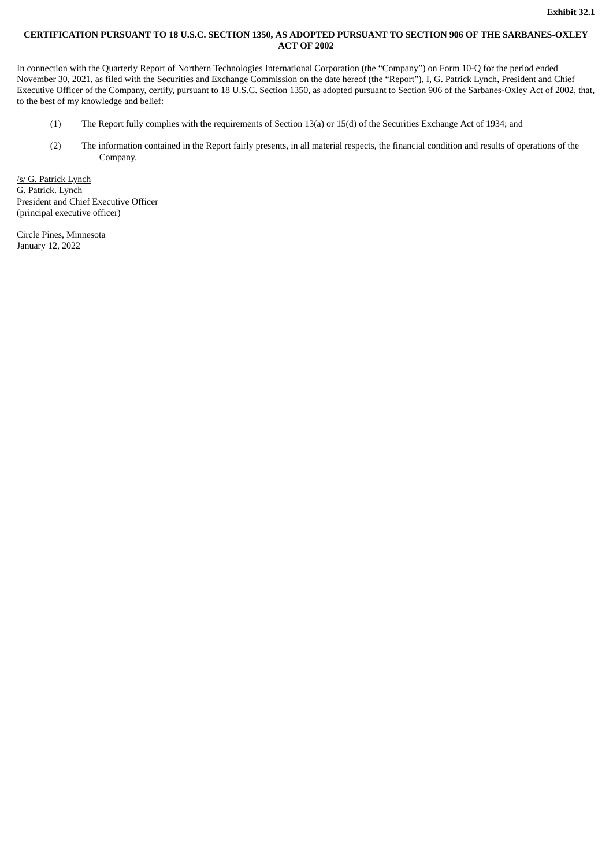#### <span id="page-43-0"></span>**CERTIFICATION PURSUANT TO 18 U.S.C. SECTION 1350, AS ADOPTED PURSUANT TO SECTION 906 OF THE SARBANES-OXLEY ACT OF 2002**

In connection with the Quarterly Report of Northern Technologies International Corporation (the "Company") on Form 10-Q for the period ended November 30, 2021, as filed with the Securities and Exchange Commission on the date hereof (the "Report"), I, G. Patrick Lynch, President and Chief Executive Officer of the Company, certify, pursuant to 18 U.S.C. Section 1350, as adopted pursuant to Section 906 of the Sarbanes-Oxley Act of 2002, that, to the best of my knowledge and belief:

- (1) The Report fully complies with the requirements of Section 13(a) or 15(d) of the Securities Exchange Act of 1934; and
- (2) The information contained in the Report fairly presents, in all material respects, the financial condition and results of operations of the Company.

/s/ G. Patrick Lynch G. Patrick. Lynch President and Chief Executive Officer (principal executive officer)

Circle Pines, Minnesota January 12, 2022